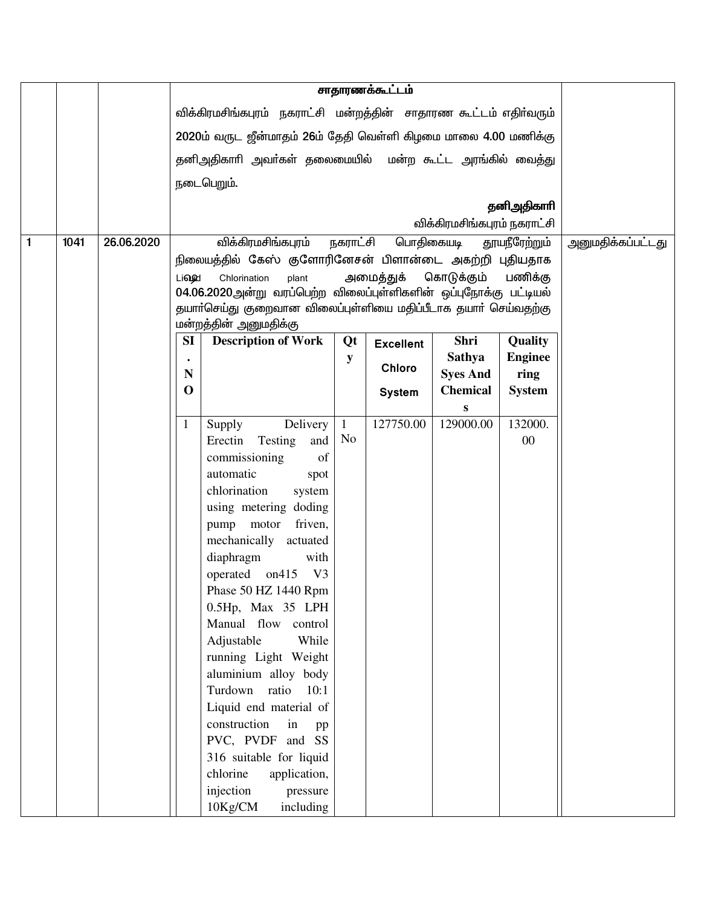|   |      |            |              |                                                                  |              | சாதாரணக்கூட்டம்  |                             |                           |                   |
|---|------|------------|--------------|------------------------------------------------------------------|--------------|------------------|-----------------------------|---------------------------|-------------------|
|   |      |            |              | விக்கிரமசிங்கபுரம் நகராட்சி மன்றத்தின் சாதாரண கூட்டம் எதிர்வரும் |              |                  |                             |                           |                   |
|   |      |            |              | 2020ம் வருட ஜீன்மாதம் 26ம் தேதி வெள்ளி கிழமை மாலை 4.00 மணிக்கு   |              |                  |                             |                           |                   |
|   |      |            |              | தனிஅதிகாரி அவர்கள் தலைமையில் மன்ற கூட்ட அரங்கில் வைத்து          |              |                  |                             |                           |                   |
|   |      |            |              | நடைபெறும்.                                                       |              |                  |                             |                           |                   |
|   |      |            |              |                                                                  |              |                  |                             | தனிஅதிகாரி                |                   |
|   |      |            |              |                                                                  |              |                  | விக்கிரமசிங்கபுரம் நகராட்சி |                           |                   |
| 1 | 1041 | 26.06.2020 |              | விக்கிரமசிங்கபுரம்                                               | நகராட்சி     | பொதிகையடி        |                             | தூயநீரேற்றும்             | அனுமதிக்கப்பட்டது |
|   |      |            |              | நிலையத்தில் கேஸ் குளோரினேசன் பிளான்டை அகற்றி புதியதாக            |              |                  |                             |                           |                   |
|   |      |            | Li <b>ou</b> | Chlorination<br>plant                                            |              | அமைத்துக்        | கொடுக்கும்                  | பணிக்கு                   |                   |
|   |      |            |              | 04.06.2020அன்று வரப்பெற்ற விலைப்புள்ளிகளின் ஒப்புநோக்கு பட்டியல் |              |                  |                             |                           |                   |
|   |      |            |              | தயாா்செய்து குறைவான விலைப்புள்ளியை மதிப்பீடாக தயாா் செய்வதற்கு   |              |                  |                             |                           |                   |
|   |      |            |              | மன்றத்தின் அனுமதிக்கு                                            |              |                  |                             |                           |                   |
|   |      |            | SI           | <b>Description of Work</b>                                       | Qt           | <b>Excellent</b> | Shri<br><b>Sathya</b>       | Quality<br><b>Enginee</b> |                   |
|   |      |            | N            |                                                                  | y            | <b>Chloro</b>    | <b>Syes And</b>             | ring                      |                   |
|   |      |            | $\mathbf 0$  |                                                                  |              | <b>System</b>    | <b>Chemical</b>             | <b>System</b>             |                   |
|   |      |            |              |                                                                  |              |                  | S                           |                           |                   |
|   |      |            | 1            | Delivery<br>Supply                                               | $\mathbf{1}$ | 127750.00        | 129000.00                   | 132000.                   |                   |
|   |      |            |              | Erectin<br>and<br>Testing                                        | No           |                  |                             | 00                        |                   |
|   |      |            |              | of<br>commissioning                                              |              |                  |                             |                           |                   |
|   |      |            |              | automatic<br>spot                                                |              |                  |                             |                           |                   |
|   |      |            |              | chlorination<br>system                                           |              |                  |                             |                           |                   |
|   |      |            |              | using metering doding                                            |              |                  |                             |                           |                   |
|   |      |            |              | pump motor friven,                                               |              |                  |                             |                           |                   |
|   |      |            |              | mechanically actuated                                            |              |                  |                             |                           |                   |
|   |      |            |              | diaphragm<br>with<br>operated on415<br>V3                        |              |                  |                             |                           |                   |
|   |      |            |              | Phase 50 HZ 1440 Rpm                                             |              |                  |                             |                           |                   |
|   |      |            |              | 0.5Hp, Max 35 LPH                                                |              |                  |                             |                           |                   |
|   |      |            |              | Manual flow control                                              |              |                  |                             |                           |                   |
|   |      |            |              | Adjustable<br>While                                              |              |                  |                             |                           |                   |
|   |      |            |              | running Light Weight                                             |              |                  |                             |                           |                   |
|   |      |            |              | aluminium alloy body                                             |              |                  |                             |                           |                   |
|   |      |            |              | Turdown ratio<br>10:1                                            |              |                  |                             |                           |                   |
|   |      |            |              | Liquid end material of                                           |              |                  |                             |                           |                   |
|   |      |            |              | construction<br>in<br>pp                                         |              |                  |                             |                           |                   |
|   |      |            |              | PVC, PVDF and SS                                                 |              |                  |                             |                           |                   |
|   |      |            |              | 316 suitable for liquid                                          |              |                  |                             |                           |                   |
|   |      |            |              | chlorine<br>application,                                         |              |                  |                             |                           |                   |
|   |      |            |              | injection<br>pressure                                            |              |                  |                             |                           |                   |
|   |      |            |              | 10Kg/CM<br>including                                             |              |                  |                             |                           |                   |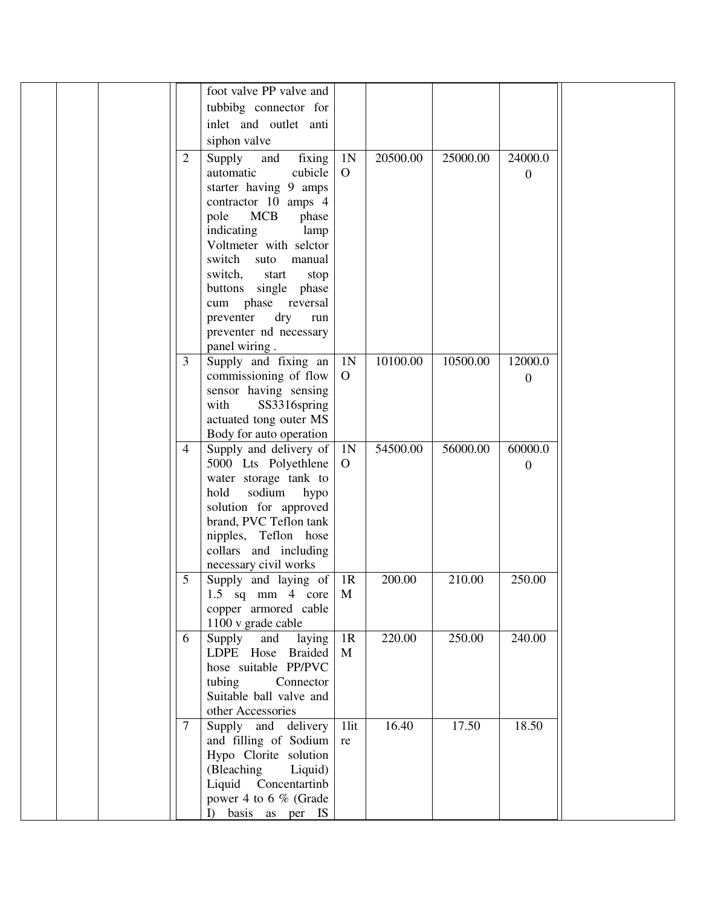|                | foot valve PP valve and  |                |          |          |                |  |
|----------------|--------------------------|----------------|----------|----------|----------------|--|
|                |                          |                |          |          |                |  |
|                | tubbibg connector for    |                |          |          |                |  |
|                | inlet and outlet anti    |                |          |          |                |  |
|                | siphon valve             |                |          |          |                |  |
| $\overline{2}$ | Supply<br>and<br>fixing  | 1 <sub>N</sub> | 20500.00 | 25000.00 | 24000.0        |  |
|                | automatic<br>cubicle     | $\overline{O}$ |          |          | $\overline{0}$ |  |
|                | starter having 9 amps    |                |          |          |                |  |
|                | contractor 10 amps 4     |                |          |          |                |  |
|                | MCB<br>pole<br>phase     |                |          |          |                |  |
|                | indicating<br>lamp       |                |          |          |                |  |
|                | Voltmeter with selctor   |                |          |          |                |  |
|                | switch<br>suto<br>manual |                |          |          |                |  |
|                | switch,<br>start<br>stop |                |          |          |                |  |
|                | buttons single phase     |                |          |          |                |  |
|                | cum phase reversal       |                |          |          |                |  |
|                | dry<br>preventer<br>run  |                |          |          |                |  |
|                | preventer nd necessary   |                |          |          |                |  |
|                | panel wiring.            |                |          |          |                |  |
| 3              | Supply and fixing an     | 1N             | 10100.00 | 10500.00 | 12000.0        |  |
|                | commissioning of flow    | $\overline{O}$ |          |          |                |  |
|                |                          |                |          |          | $\mathbf{0}$   |  |
|                | sensor having sensing    |                |          |          |                |  |
|                | with<br>SS3316spring     |                |          |          |                |  |
|                | actuated tong outer MS   |                |          |          |                |  |
|                | Body for auto operation  |                |          |          |                |  |
| $\overline{4}$ | Supply and delivery of   | 1N             | 54500.00 | 56000.00 | 60000.0        |  |
|                | 5000 Lts Polyethlene     | $\overline{O}$ |          |          | $\Omega$       |  |
|                | water storage tank to    |                |          |          |                |  |
|                | sodium<br>hold<br>hypo   |                |          |          |                |  |
|                | solution for approved    |                |          |          |                |  |
|                | brand, PVC Teflon tank   |                |          |          |                |  |
|                | nipples, Teflon hose     |                |          |          |                |  |
|                | collars and including    |                |          |          |                |  |
|                | necessary civil works    |                |          |          |                |  |
| 5              | Supply and laying of     | 1R             | 200.00   | 210.00   | 250.00         |  |
|                | 1.5 sq mm 4 core $M$     |                |          |          |                |  |
|                | copper armored cable     |                |          |          |                |  |
|                | 1100 v grade cable       |                |          |          |                |  |
| 6              | Supply and<br>laying     | 1R             | 220.00   | 250.00   | 240.00         |  |
|                | LDPE Hose Braided        | M              |          |          |                |  |
|                | hose suitable PP/PVC     |                |          |          |                |  |
|                | tubing<br>Connector      |                |          |          |                |  |
|                | Suitable ball valve and  |                |          |          |                |  |
|                | other Accessories        |                |          |          |                |  |
| 7              | Supply and delivery      | 1lit           | 16.40    | 17.50    | 18.50          |  |
|                | and filling of Sodium    | re             |          |          |                |  |
|                | Hypo Clorite solution    |                |          |          |                |  |
|                | (Bleaching<br>Liquid)    |                |          |          |                |  |
|                | Liquid Concentartinb     |                |          |          |                |  |
|                | power 4 to 6 % (Grade    |                |          |          |                |  |
|                | I) basis as per IS       |                |          |          |                |  |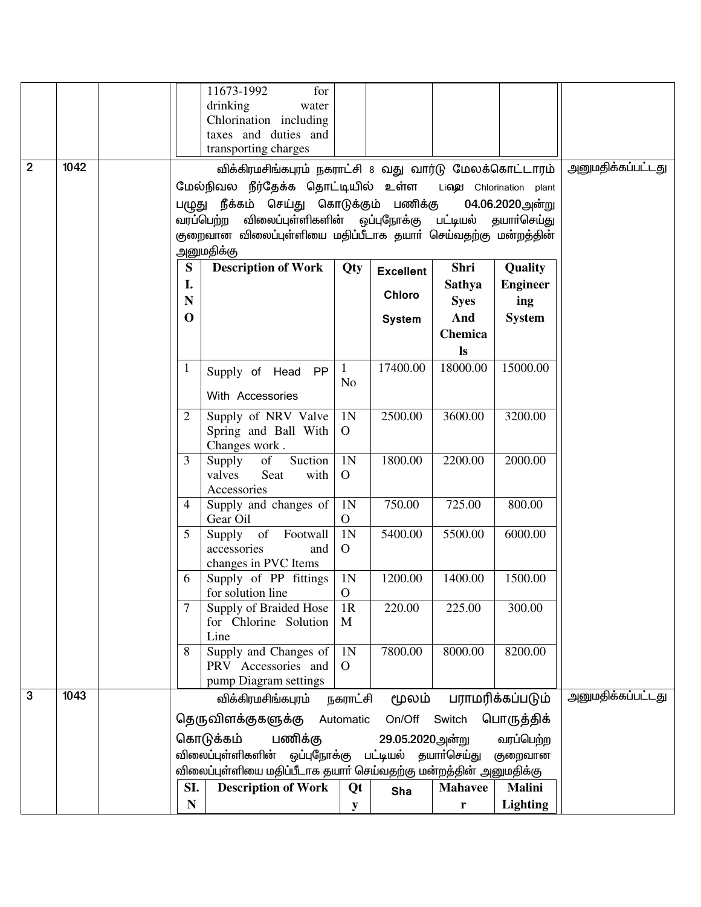|                |      |                 | 11673-1992<br>for<br>drinking<br>water<br>Chlorination including<br>taxes and duties and<br>transporting charges                                                                       |                                |                                  |                      |                          |                   |
|----------------|------|-----------------|----------------------------------------------------------------------------------------------------------------------------------------------------------------------------------------|--------------------------------|----------------------------------|----------------------|--------------------------|-------------------|
| $\overline{2}$ | 1042 |                 | விக்கிரமசிங்கபுரம் நகராட்சி 8 வது வார்டு மேலக்கொட்டாரம்                                                                                                                                |                                |                                  |                      |                          | அனுமதிக்கப்பட்டது |
|                |      |                 | மேல்நிவல நீர்தேக்க தொட்டியில் உள்ள                                                                                                                                                     |                                |                                  |                      | Lingd Chlorination plant |                   |
|                |      |                 | பழுது நீக்கம் செய்து கொடுக்கும் பணிக்கு<br>வரப்பெற்ற விலைப்புள்ளிகளின் ஒப்புநோக்கு பட்டியல் தயாா்செய்து<br>குறைவான விலைப்புள்ளியை மதிப்பீடாக தயார் செய்வதற்கு மன்றத்தின்<br>அனுமதிக்கு |                                |                                  |                      | 04.06.2020 அன்று         |                   |
|                |      | S               | <b>Description of Work</b>                                                                                                                                                             | Qty                            | <b>Excellent</b>                 | Shri                 | Quality                  |                   |
|                |      | I.<br>${\bf N}$ |                                                                                                                                                                                        |                                | <b>Chloro</b>                    | <b>Sathya</b>        | <b>Engineer</b>          |                   |
|                |      | $\mathbf 0$     |                                                                                                                                                                                        |                                | <b>System</b>                    | <b>Syes</b><br>And   | ing<br><b>System</b>     |                   |
|                |      |                 |                                                                                                                                                                                        |                                |                                  | Chemica<br><b>ls</b> |                          |                   |
|                |      | $\mathbf{1}$    | Supply of Head PP<br>With Accessories                                                                                                                                                  | $\mathbf{1}$<br>N <sub>o</sub> | 17400.00                         | 18000.00             | 15000.00                 |                   |
|                |      | 2               | Supply of NRV Valve<br>Spring and Ball With<br>Changes work.                                                                                                                           | 1 <sub>N</sub><br>$\mathbf{O}$ | 2500.00                          | 3600.00              | 3200.00                  |                   |
|                |      | 3               | Suction<br>Supply<br>of<br>valves<br>Seat<br>with<br>Accessories                                                                                                                       | 1 <sub>N</sub><br>$\mathbf{O}$ | 1800.00                          | 2200.00              | 2000.00                  |                   |
|                |      | 4               | Supply and changes of<br>Gear Oil                                                                                                                                                      | 1 <sub>N</sub><br>$\mathbf{O}$ | 750.00                           | 725.00               | 800.00                   |                   |
|                |      | 5               | Supply of Footwall<br>accessories<br>and<br>changes in PVC Items                                                                                                                       | 1 <sub>N</sub><br>$\mathbf{O}$ | 5400.00                          | 5500.00              | 6000.00                  |                   |
|                |      | 6               | Supply of PP fittings<br>for solution line                                                                                                                                             | 1 <sub>N</sub><br>$\mathbf{O}$ | 1200.00                          | 1400.00              | 1500.00                  |                   |
|                |      | 7               | Supply of Braided Hose<br>for Chlorine Solution<br>Line                                                                                                                                | 1R<br>M                        | 220.00                           | 225.00               | 300.00                   |                   |
|                |      | 8               | Supply and Changes of<br>PRV Accessories and<br>pump Diagram settings                                                                                                                  | 1 <sub>N</sub><br>$\Omega$     | 7800.00                          | 8000.00              | 8200.00                  |                   |
| 3              | 1043 |                 | விக்கிரமசிங்கபுரம்                                                                                                                                                                     | நகராட்சி                       | மூலம்                            |                      | பராமரிக்கப்படும்         | அனுமதிக்கப்பட்டது |
|                |      |                 | தெருவிளக்குகளுக்கு                                                                                                                                                                     | Automatic                      | On/Off Switch                    |                      | பொருத்திக்               |                   |
|                |      |                 | கொடுக்கம்<br>பணிக்கு                                                                                                                                                                   |                                | 29.05.2020 அன்று                 |                      | வரப்பெற்ற                |                   |
|                |      |                 | விலைப்புள்ளிகளின்<br>விலைப்புள்ளியை மதிப்பீடாக தயாா் செய்வதற்கு மன்றத்தின் அனுமதிக்கு                                                                                                  |                                | ஒப்புநோக்கு பட்டியல் தயாா்செய்து |                      | குறைவான                  |                   |
|                |      | SI.             | <b>Description of Work</b>                                                                                                                                                             | Qt                             | Sha                              | <b>Mahavee</b>       | <b>Malini</b>            |                   |
|                |      | N               |                                                                                                                                                                                        | $\mathbf y$                    |                                  | r                    | <b>Lighting</b>          |                   |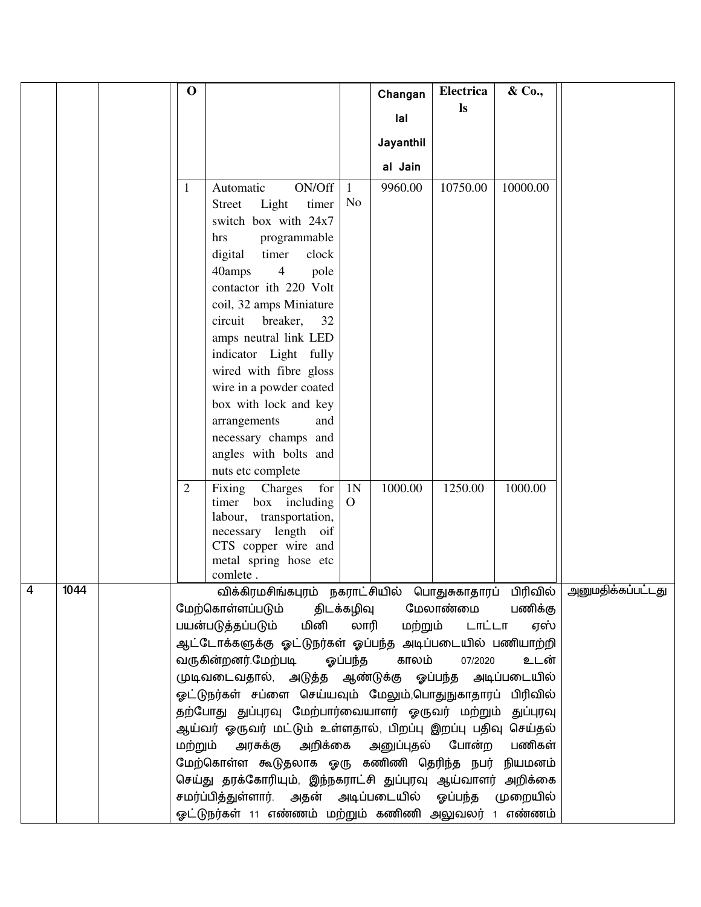|                |      | $\mathbf O$    |                                                                                                   |                                  | Changan             | Electrica     | & Co.,   |  |
|----------------|------|----------------|---------------------------------------------------------------------------------------------------|----------------------------------|---------------------|---------------|----------|--|
|                |      |                |                                                                                                   |                                  | lal                 | $\mathbf{ls}$ |          |  |
|                |      |                |                                                                                                   |                                  |                     |               |          |  |
|                |      |                |                                                                                                   |                                  | Jayanthil           |               |          |  |
|                |      |                |                                                                                                   |                                  | al Jain             |               |          |  |
|                |      | 1              | ON/Off<br>Automatic                                                                               | 1                                | 9960.00             | 10750.00      | 10000.00 |  |
|                |      |                | timer<br>Street<br>Light                                                                          | N <sub>o</sub>                   |                     |               |          |  |
|                |      |                | switch box with 24x7                                                                              |                                  |                     |               |          |  |
|                |      |                | programmable<br>hrs                                                                               |                                  |                     |               |          |  |
|                |      |                | digital<br>timer<br>clock                                                                         |                                  |                     |               |          |  |
|                |      |                | 40amps<br>$\overline{4}$<br>pole<br>contactor ith 220 Volt                                        |                                  |                     |               |          |  |
|                |      |                | coil, 32 amps Miniature                                                                           |                                  |                     |               |          |  |
|                |      |                | circuit<br>breaker,<br>32                                                                         |                                  |                     |               |          |  |
|                |      |                | amps neutral link LED                                                                             |                                  |                     |               |          |  |
|                |      |                | indicator Light fully                                                                             |                                  |                     |               |          |  |
|                |      |                | wired with fibre gloss                                                                            |                                  |                     |               |          |  |
|                |      |                | wire in a powder coated                                                                           |                                  |                     |               |          |  |
|                |      |                | box with lock and key                                                                             |                                  |                     |               |          |  |
|                |      |                | arrangements<br>and                                                                               |                                  |                     |               |          |  |
|                |      |                | necessary champs and                                                                              |                                  |                     |               |          |  |
|                |      |                | angles with bolts and                                                                             |                                  |                     |               |          |  |
|                |      |                | nuts etc complete                                                                                 |                                  |                     |               |          |  |
|                |      | $\overline{2}$ | Fixing Charges<br>for<br>timer box including                                                      | 1 <sub>N</sub><br>$\overline{O}$ | 1000.00             | 1250.00       | 1000.00  |  |
|                |      |                | labour, transportation,                                                                           |                                  |                     |               |          |  |
|                |      |                | necessary length oif                                                                              |                                  |                     |               |          |  |
|                |      |                | CTS copper wire and                                                                               |                                  |                     |               |          |  |
|                |      |                | metal spring hose etc<br>comlete.                                                                 |                                  |                     |               |          |  |
| $\overline{4}$ | 1044 |                | விக்கிரமசிங்கபுரம் நகராட்சியில் பொதுசுகாதாரப் பிரிவில் அனுமதிக்கப்பட்டது                          |                                  |                     |               |          |  |
|                |      |                | மேற்கொள்ளப்படும்                                                                                  |                                  | திடக்கழிவு மேலாண்மை |               | பணிக்கு  |  |
|                |      |                | பயன்படுத்தப்படும் மினி                                                                            |                                  | லாரி<br>மற்றும்     | டாட்டா        | ஏஸ்      |  |
|                |      |                | ஆட்டோக்களுக்கு ஓட்டுநர்கள் ஓப்பந்த அடிப்படையில் பணியாற்றி                                         |                                  |                     |               |          |  |
|                |      |                | வருகின்றனர்.மேற்படி                                                                               | ஓப்பந்த                          | காலம்               | 07/2020       | உடன்     |  |
|                |      |                | முடிவடைவதால், அடுத்த ஆண்டுக்கு ஓப்பந்த அடிப்படையில்                                               |                                  |                     |               |          |  |
|                |      |                | ஓட்டுநர்கள் சப்ளை செய்யவும் மேலும்,பொதுநுகாதாரப் பிரிவில்                                         |                                  |                     |               |          |  |
|                |      |                | தற்போது துப்புரவு மேற்பார்வையாளர் ஓருவர் மற்றும் துப்புரவு                                        |                                  |                     |               |          |  |
|                |      | மற்றும்        | ஆய்வர் ஓருவர் மட்டும் உள்ளதால், பிறப்பு இறப்பு பதிவு செய்தல்<br>அரசுக்கு அறிக்கை அனுப்புதல் போன்ற |                                  |                     |               | பணிகள்   |  |
|                |      |                | மேற்கொள்ள கூடுதலாக ஓரு கணிணி தெரிந்த நபர் நியமனம்                                                 |                                  |                     |               |          |  |
|                |      |                | செய்து தரக்கோரியும், இந்நகராட்சி துப்புரவு ஆய்வாளர் அறிக்கை                                       |                                  |                     |               |          |  |
|                |      |                | சமர்ப்பித்துள்ளார். அதன் அடிப்படையில் ஓப்பந்த முறையில்                                            |                                  |                     |               |          |  |
|                |      |                | ஓட்டுநர்கள் 11 எண்ணம் மற்றும் கணிணி அலுவலர் 1 எண்ணம்                                              |                                  |                     |               |          |  |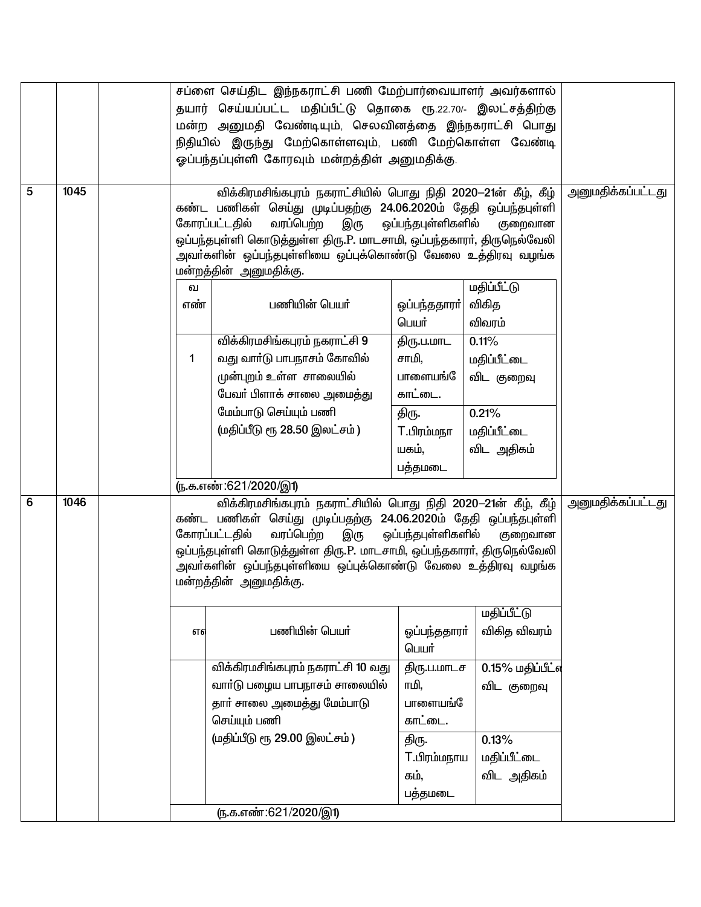|   |      |                                                                                                                                                                                                                                                         | சப்ளை செய்திட இந்நகராட்சி பணி மேற்பார்வையாளர் அவர்களால்<br>தயார் செய்யப்பட்ட மதிப்பீட்டு தொகை ரூ.22.70/- இலட்சத்திற்கு<br>மன்ற அனுமதி வேண்டியும், செலவினத்தை இந்நகராட்சி பொது<br>நிதியில் இருந்து மேற்கொள்ளவும், பணி மேற்கொள்ள வேண்டி<br>ஓப்பந்தப்புள்ளி கோரவும் மன்றத்திள் அனுமதிக்கு.                                                                                                                                                                        |                                                                                                                |                                                                                             |                          |
|---|------|---------------------------------------------------------------------------------------------------------------------------------------------------------------------------------------------------------------------------------------------------------|----------------------------------------------------------------------------------------------------------------------------------------------------------------------------------------------------------------------------------------------------------------------------------------------------------------------------------------------------------------------------------------------------------------------------------------------------------------|----------------------------------------------------------------------------------------------------------------|---------------------------------------------------------------------------------------------|--------------------------|
| 5 | 1045 | கண்ட பணிகள் செய்து முடிப்பதற்கு 24.06.2020ம் தேதி ஒப்பந்தபுள்ளி<br>கோரப்பட்டதில்<br>ஒப்பந்தபுள்ளி கொடுத்துள்ள திரு.P. மாடசாமி, ஒப்பந்தகாரா், திருநெல்வேலி<br>அவா்களின் ஒப்பந்தபுள்ளியை ஒப்புக்கொண்டு வேலை உத்திரவு வழங்க<br>மன்றத்தின் அனுமதிக்கு.<br>ഖ | அனுமதிக்கப்பட்டது                                                                                                                                                                                                                                                                                                                                                                                                                                              |                                                                                                                |                                                                                             |                          |
|   |      | எண்<br>$\mathbf 1$                                                                                                                                                                                                                                      | பணியின் பெயர்<br>விக்கிரமசிங்கபுரம் நகராட்சி 9<br>வது வாா்டு பாபநாசம் கோவில்<br>முன்புறம் உள்ள சாலையில்<br>பேவா் பிளாக் சாலை அமை <u>க்க</u> ு<br>மேம்பாடு செய்யும் பணி<br>(மதிப்பீடு ரூ 28.50 இலட்சம்)<br><u>ரு.க.எண்:621/2020/இ1)</u>                                                                                                                                                                                                                         | ஒப்பந்ததாரா் <br>பெயர்<br>திரு.ப.மாட<br>சாமி,<br>பாளையங்<br>காட்டை.<br>திரு.<br>T.பிரம்மநா<br>யகம்,<br>பத்தமடை | விகித<br>விவரம்<br>0.11%<br>மதிப்பீட்டை<br>விட குறைவு<br>0.21%<br>மதிப்பீட்டை<br>விட அதிகம் |                          |
| 6 | 1046 | எஎ                                                                                                                                                                                                                                                      | விக்கிரமசிங்கபுரம் நகராட்சியில் பொது நிதி 2020-21ன் கீழ், கீழ்<br>கண்ட பணிகள் செய்து முடிப்பதற்கு 24.06.2020ம் தேதி ஒப்பந்தபுள்ளி<br>வரப்பெற்ற<br>கோரப்பட்டதில்<br>இரு<br>ஒப்பந்தபுள்ளி கொடுத்துள்ள திரு.P. மாடசாமி, ஒப்பந்தகாரா், திருநெல்வேலி<br>அவா்களின் ஒப்பந்தபுள்ளியை ஒப்புக்கொண்டு வேலை உத்திரவு வழங்க<br>மன்றத்தின் அனுமதிக்கு.<br>பணியின் பெயர்<br>விக்கிரமசிங்கபுரம் நகராட்சி 10 வது<br>வார்டு பழைய பாபநாசம் சாலையில்<br>தாா் சாலை அமைத்து மேம்பாடு | ஒப்பந்தபுள்ளிகளில்<br>ஓப்பந்ததாரா்<br>பெயர்<br>திரு.ப.மாடச<br>ாமி.<br>பாளையங்                                  | குறைவான<br><u>மதிப்பீட்டு</u><br>விகித விவரம்<br>0.15% மதிப்பீட்எ<br>விட குறைவு             | <u>அனுமதிக்கப்பட்டது</u> |
|   |      |                                                                                                                                                                                                                                                         | செய்யும் பணி<br>(மதிப்பீடு ரூ 29.00 இலட்சம்)<br>(ந.க.எண்:621/2020/இ1)                                                                                                                                                                                                                                                                                                                                                                                          | காட்டை.<br>திரு.<br>T.பிரம்மநாய<br>கம்,<br>பத்தமடை                                                             | 0.13%<br>மதிப்பீட்டை<br>விட அதிகம்                                                          |                          |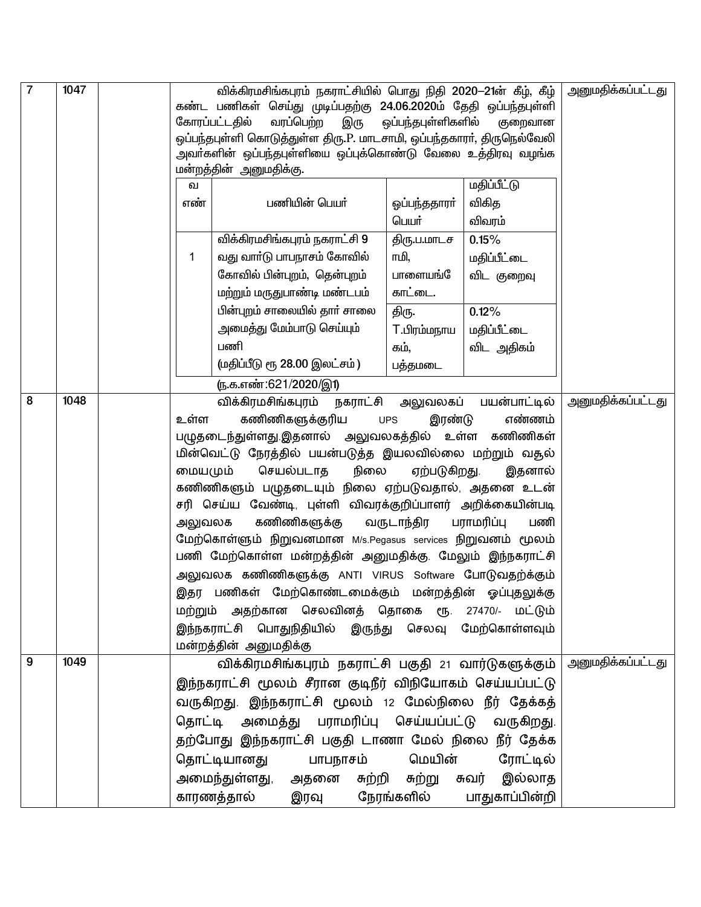| $\overline{7}$ | 1047 |         | <u>அனுமதிக்கப்பட்டது</u>                                                                                                          |                       |                          |                          |
|----------------|------|---------|-----------------------------------------------------------------------------------------------------------------------------------|-----------------------|--------------------------|--------------------------|
|                |      |         | விக்கிரமசிங்கபுரம் நகராட்சியில் பொது நிதி 2020—21ன் கீழ், கீழ்<br>கண்ட பணிகள் செய்து முடிப்பதற்கு 24.06.2020ம் தேதி ஒப்பந்தபுள்ளி |                       |                          |                          |
|                |      |         | வரப்பெற்ற<br>கோரப்பட்டதில்<br>ஒப்பந்தபுள்ளிகளில்<br>இரு                                                                           |                       |                          |                          |
|                |      |         | ஒப்பந்தபுள்ளி கொடுத்துள்ள திரு.P. மாடசாமி, ஒப்பந்தகாரா், திருநெல்வேலி                                                             |                       |                          |                          |
|                |      |         | அவா்களின் ஒப்பந்தபுள்ளியை ஒப்புக்கொண்டு வேலை உத்திரவு வழங்க                                                                       |                       |                          |                          |
|                |      |         | மன்றத்தின் அனுமதிக்கு.                                                                                                            |                       |                          |                          |
|                |      | வ       | பணியின் பெயர்                                                                                                                     |                       | மதிப்பீட்டு              |                          |
|                |      | எண்     |                                                                                                                                   | ஒப்பந்ததாரா்<br>பெயர் | விகித<br>விவரம்          |                          |
|                |      |         | விக்கிரமசிங்கபுரம் நகராட்சி 9                                                                                                     |                       | 0.15%                    |                          |
|                |      | 1       | வது வாா்டு பாபநாசம் கோவில்                                                                                                        | திரு.ப.மாடச<br>ாமி,   | மதிப்பீட்டை              |                          |
|                |      |         | கோவில் பின்புறம், தென்புறம்                                                                                                       | பாளையங்               |                          |                          |
|                |      |         | மற்றும் மருதுபாண்டி மண்டபம்                                                                                                       | காட்டை.               | விட குறைவு               |                          |
|                |      |         | பின்புறம் சாலையில் தார் சாலை                                                                                                      | திரு.                 | 0.12%                    |                          |
|                |      |         | அமைத்து மேம்பாடு செய்யும்                                                                                                         | T.பிரம்மநாய           | மதிப்பீட்டை              |                          |
|                |      |         | பணி                                                                                                                               | கம்,                  | விட அதிகம்               |                          |
|                |      |         | (மதிப்பீடு ரூ 28.00 இலட்சம்)                                                                                                      | பத்தமடை               |                          |                          |
|                |      |         | <u>ரு.க.எண்:621/2020/இ1)</u>                                                                                                      |                       |                          |                          |
| 8              | 1048 |         | விக்கிரமசிங்கபுரம் நகராட்சி அலுவலகப்                                                                                              |                       | பயன்பாட்டில்             | <u>அனுமதிக்கப்பட்டது</u> |
|                |      | உள்ள    | கணிணிகளுக்குரிய                                                                                                                   | இரண்டு<br><b>UPS</b>  | எண்ணம்                   |                          |
|                |      |         | பழுதடைந்துள்ளது.இதனால் அலுவலகத்தில் உள்ள கணிணிகள்                                                                                 |                       |                          |                          |
|                |      |         | மின்வெட்டு நேரத்தில் பயன்படுத்த இயலவில்லை மற்றும் வதல்                                                                            |                       |                          |                          |
|                |      | மையமும் | செயல்படாத<br>நிலை                                                                                                                 | ஏற்படுகிறது.          | இதனால்                   |                          |
|                |      |         | கணிணிகளும் பழுதடையும் நிலை ஏற்படுவதால், அதனை உடன்                                                                                 |                       |                          |                          |
|                |      |         | சரி செய்ய வேண்டி, புள்ளி விவரக்குறிப்பாளர் அறிக்கையின்படி                                                                         |                       |                          |                          |
|                |      | அலுவலக  | கணிணிகளுக்கு                                                                                                                      | வருடாந்திர            | பராமரிப்பு<br>பணி        |                          |
|                |      |         | மேற்கொள்ளும் நிறுவனமான M/s.Pegasus services நிறுவனம் மூலம்                                                                        |                       |                          |                          |
|                |      |         | பணி மேற்கொள்ள மன்றத்தின் அனுமதிக்கு. மேலும் இந்நகராட்சி                                                                           |                       |                          |                          |
|                |      |         | அலுவலக கணிணிகளுக்கு ANTI VIRUS Software போடுவதற்க்கும்                                                                            |                       |                          |                          |
|                |      |         | இதர பணிகள் மேற்கொண்டமைக்கும் மன்றத்தின் ஓப்புதலுக்கு                                                                              |                       |                          |                          |
|                |      |         | மற்றும் அதற்கான செலவினத் தொகை ரூ. 27470/- மட்டும்                                                                                 |                       |                          |                          |
|                |      |         | இந்நகராட்சி பொதுநிதியில் இருந்து செலவு மேற்கொள்ளவும்                                                                              |                       |                          |                          |
|                |      |         | மன்றத்தின் அனுமதிக்கு                                                                                                             |                       |                          |                          |
| 9              | 1049 |         | விக்கிரமசிங்கபுரம் நகராட்சி பகுதி 21 வார்டுகளுக்கும்                                                                              |                       | <u>அனுமதிக்கப்பட்டது</u> |                          |
|                |      |         | இந்நகராட்சி மூலம் சீரான குடிநீர் விநியோகம் செய்யப்பட்டு                                                                           |                       |                          |                          |
|                |      |         | வருகிறது. இந்நகராட்சி மூலம் 12 மேல்நிலை நீர் தேக்கத்                                                                              |                       |                          |                          |
|                |      |         | தொட்டி அமைத்து பராமரிப்பு செய்யப்பட்டு வருகிறது.                                                                                  |                       |                          |                          |
|                |      |         | தற்போது இந்நகராட்சி பகுதி டாணா மேல் நிலை நீர் தேக்க                                                                               |                       |                          |                          |
|                |      |         | தொட்டியானது பாபநாசம் மெயின் ரோட்டில்                                                                                              |                       |                          |                          |
|                |      |         | அமைந்துள்ளது, அதனை சுற்றி சுற்று சுவர் இல்லாத                                                                                     |                       |                          |                          |
|                |      |         | காரணத்தால் இரவு நேரங்களில் பாதுகாப்பின்றி                                                                                         |                       |                          |                          |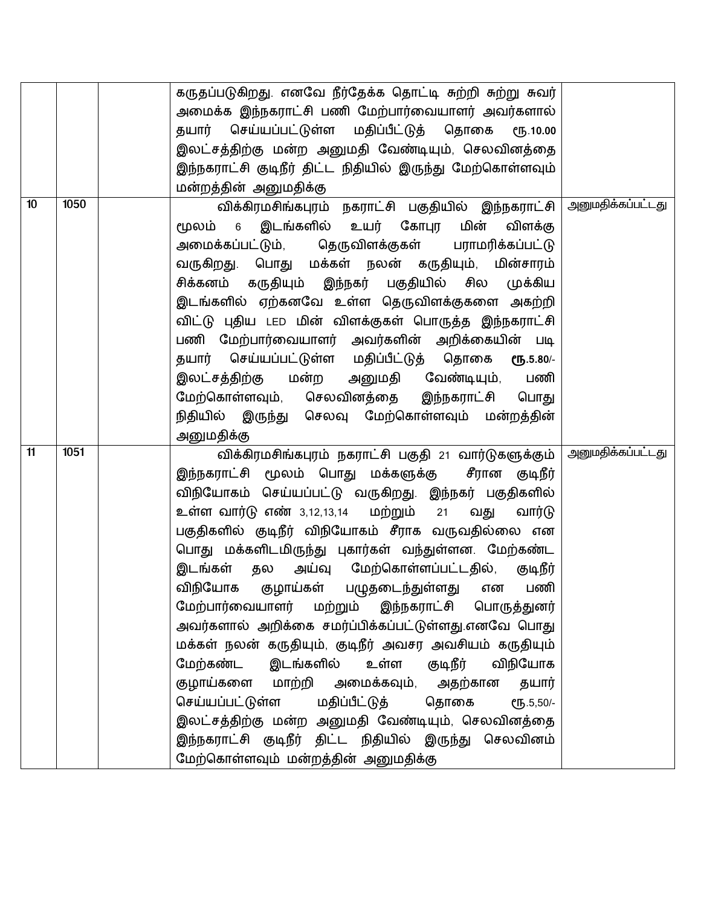|    |      | கருதப்படுகிறது. எனவே நீர்தேக்க தொட்டி சுற்றி சுற்று சுவர்            |                          |
|----|------|----------------------------------------------------------------------|--------------------------|
|    |      | அமைக்க இந்நகராட்சி பணி மேற்பார்வையாளர் அவர்களால்                     |                          |
|    |      | தயார் செய்யப்பட்டுள்ள மதிப்பீட்டுத் தொகை<br>ሮҦ.10.00                 |                          |
|    |      | இலட்சத்திற்கு மன்ற அனுமதி வேண்டியும், செலவினத்தை                     |                          |
|    |      | இந்நகராட்சி குடிநீர் திட்ட நிதியில் இருந்து மேற்கொள்ளவும்            |                          |
|    |      | மன்றத்தின் அனுமதிக்கு                                                |                          |
| 10 | 1050 | விக்கிரமசிங்கபுரம் நகராட்சி பகுதியில் இந்நகராட்சி  அனுமதிக்கப்பட்டது |                          |
|    |      | மூலம் 6 இடங்களில் உயர் கோபுர<br>மின்<br>விளக்கு                      |                          |
|    |      | அமைக்கப்பட்டும், தெருவிளக்குகள் பராமரிக்கப்பட்டு                     |                          |
|    |      | வருகிறது. பொது மக்கள் நலன் கருதியும், மின்சாரம்                      |                          |
|    |      | சிக்கனம் கருதியும் இந்நகர் பகுதியில் சில<br>முக்கிய                  |                          |
|    |      | இடங்களில் ஏற்கனவே உள்ள தெருவிளக்குகளை அகற்றி                         |                          |
|    |      | விட்டு புதிய LED மின் விளக்குகள் பொருத்த இந்நகராட்சி                 |                          |
|    |      | பணி மேற்பார்வையாளர் அவர்களின் அறிக்கையின் படி                        |                          |
|    |      | தயார் செய்யப்பட்டுள்ள மதிப்பீட்டுத் தொகை<br>€Ҧ.5.80/-                |                          |
|    |      | இலட்சத்திற்கு மன்ற அனுமதி வேண்டியும்,<br>பணி                         |                          |
|    |      |                                                                      |                          |
|    |      | மேற்கொள்ளவும், செலவினத்தை இந்நகராட்சி பொது                           |                          |
|    |      | நிதியில் இருந்து செலவு மேற்கொள்ளவும் மன்றத்தின்                      |                          |
|    |      | அனுமதிக்கு                                                           |                          |
| 11 | 1051 | விக்கிரமசிங்கபுரம் நகராட்சி பகுதி 21 வார்டுகளுக்கும்                 | <u>அனுமதிக்கப்பட்டது</u> |
|    |      | இந்நகராட்சி மூலம் பொது மக்களுக்கு சீரான குடிநீர்                     |                          |
|    |      | விநியோகம் செய்யப்பட்டு வருகிறது. இந்நகர் பகுதிகளில்                  |                          |
|    |      | உள்ள வார்டு எண் 3,12,13,14 மற்றும் 21<br>வார்டு<br>வது               |                          |
|    |      | பகுதிகளில் குடிநீர் விநியோகம் சீராக வருவதில்லை என                    |                          |
|    |      | பொது மக்களிடமிருந்து புகார்கள் வந்துள்ளன. மேற்கண்ட                   |                          |
|    |      | இடங்கள் தல அய்வு மேற்கொள்ளப்பட்டதில், குடிநீர்                       |                          |
|    |      | விநியோக குழாய்கள் பழுதடைந்துள்ளது<br>பணி<br>என                       |                          |
|    |      | மேற்பார்வையாளர் மற்றும் இந்நகராட்சி பொருத்துனர்                      |                          |
|    |      | அவர்களால் அறிக்கை சமர்ப்பிக்கப்பட்டுள்ளது.எனவே பொது                  |                          |
|    |      | மக்கள் நலன் கருதியும், குடிநீர் அவசர அவசியம் கருதியும்               |                          |
|    |      | மேற்கண்ட இடங்களில் உள்ள<br>குடிநீர்<br>விநியோக                       |                          |
|    |      | குழாய்களை மாற்றி அமைக்கவும், அதற்கான தயார்                           |                          |
|    |      | செய்யப்பட்டுள்ள மதிப்பீட்டுத் தொகை<br>€Ҧ.5,50/-                      |                          |
|    |      |                                                                      |                          |
|    |      | இலட்சத்திற்கு மன்ற அனுமதி வேண்டியும், செலவினத்தை                     |                          |
|    |      | இந்நகராட்சி குடிநீர் திட்ட நிதியில் இருந்து செலவினம்                 |                          |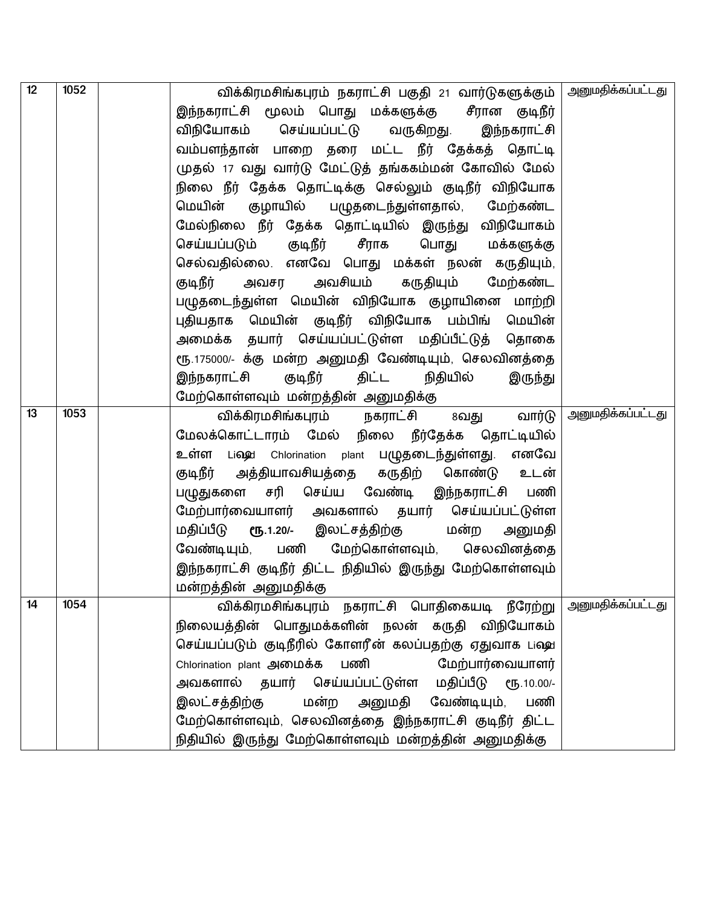| 12 | 1052 | விக்கிரமசிங்கபுரம் நகராட்சி பகுதி 21 வார்டுகளுக்கும்   அனுமதிக்கப்பட்டது |                          |
|----|------|--------------------------------------------------------------------------|--------------------------|
|    |      | இந்நகராட்சி மூலம் பொது மக்களுக்கு  சீரான குடிநீர்                        |                          |
|    |      | விநியோகம் செய்யப்பட்டு வருகிறது. இந்நகராட்சி                             |                          |
|    |      | வம்பளந்தான் பாறை தரை மட்ட நீர் தேக்கத் தொட்டி                            |                          |
|    |      | முதல் 17 வது வார்டு மேட்டுத் தங்ககம்மன் கோவில் மேல்                      |                          |
|    |      | நிலை நீர் தேக்க தொட்டிக்கு செல்லும் குடிநீர் விநியோக                     |                          |
|    |      | மெயின் குழாயில் பழுதடைந்துள்ளதால், மேற்கண்ட                              |                          |
|    |      | மேல்நிலை நீர் தேக்க தொட்டியில் இருந்து விநியோகம்                         |                          |
|    |      | செய்யப்படும் குடிநீர் சீராக<br>பொது மக்களுக்கு                           |                          |
|    |      | செல்வதில்லை. எனவே பொது மக்கள் நலன் கருதியும்,                            |                          |
|    |      | அவசியம் கருதியும்<br>குடிநீர்<br>மேற்கண்ட<br>அவசர                        |                          |
|    |      | பழுதடைந்துள்ள மெயின் விநியோக குழாயினை மாற்றி                             |                          |
|    |      | புதியதாக மெயின் குடிநீர் விநியோக பம்பிங் மெயின்                          |                          |
|    |      | அமைக்க தயார் செய்யப்பட்டுள்ள மதிப்பீட்டுத் தொகை                          |                          |
|    |      | ரூ.175000/- க்கு மன்ற அனுமதி வேண்டியும், செலவினத்தை                      |                          |
|    |      | குடிநீர்<br>இந்நகராட்சி<br>திட்ட<br>நிதியில்<br>இருந்து                  |                          |
|    |      | மேற்கொள்ளவும் மன்றத்தின் அனுமதிக்கு                                      |                          |
| 13 | 1053 | வார்டு<br>விக்கிரமசிங்கபுரம் நகராட்சி<br>8வது                            | <u>அனுமதிக்கப்பட்டது</u> |
|    |      | மேலக்கொட்டாரம் மேல் நிலை நீர்தேக்க தொட்டியில்                            |                          |
|    |      | எனவே<br>உள்ள Liஷு Chlorination plant பழுதடைந்துள்ளது.                    |                          |
|    |      | குடிநீர் அத்தியாவசியத்தை கருதிற் கொண்டு உடன்                             |                          |
|    |      | பழுதுகளை சரி செய்ய வேண்டி இந்நகராட்சி பணி                                |                          |
|    |      | மேற்பார்வையாளர் அவகளால் தயார் செய்யப்பட்டுள்ள                            |                          |
|    |      | மதிப்பீடு ரூ.1.20/- இலட்சத்திற்கு மன்ற அனுமதி                            |                          |
|    |      | வேண்டியும், பணி மேற்கொள்ளவும், செலவினத்தை                                |                          |
|    |      | இந்நகராட்சி குடிநீர் திட்ட நிதியில் இருந்து மேற்கொள்ளவும்                |                          |
|    |      | மன்றத்தின் அனுமதிக்கு                                                    |                          |
| 14 | 1054 | விக்கிரமசிங்கபுரம் நகராட்சி பொதிகையடி நீரேற்று                           | <u>அனுமதிக்கப்பட்டது</u> |
|    |      | நிலையத்தின் பொதுமக்களின் நலன் கருதி விநியோகம்                            |                          |
|    |      | செய்யப்படும் குடிநீரில் கோளரீன் கலப்பதற்கு ஏதுவாக பஷ்                    |                          |
|    |      | மேற்பார்வையாளர்<br>Chlorination plant அமைக்க<br>பணி                      |                          |
|    |      | அவகளால் தயார் செய்யப்பட்டுள்ள மதிப்பீடு ரூ.10.00/-                       |                          |
|    |      | மன்ற அனுமதி வேண்டியும்,<br>இலட்சத்திற்கு<br>பணி                          |                          |
|    |      | மேற்கொள்ளவும், செலவினத்தை இந்நகராட்சி குடிநீர் திட்ட                     |                          |
|    |      | நிதியில் இருந்து மேற்கொள்ளவும் மன்றத்தின் அனுமதிக்கு                     |                          |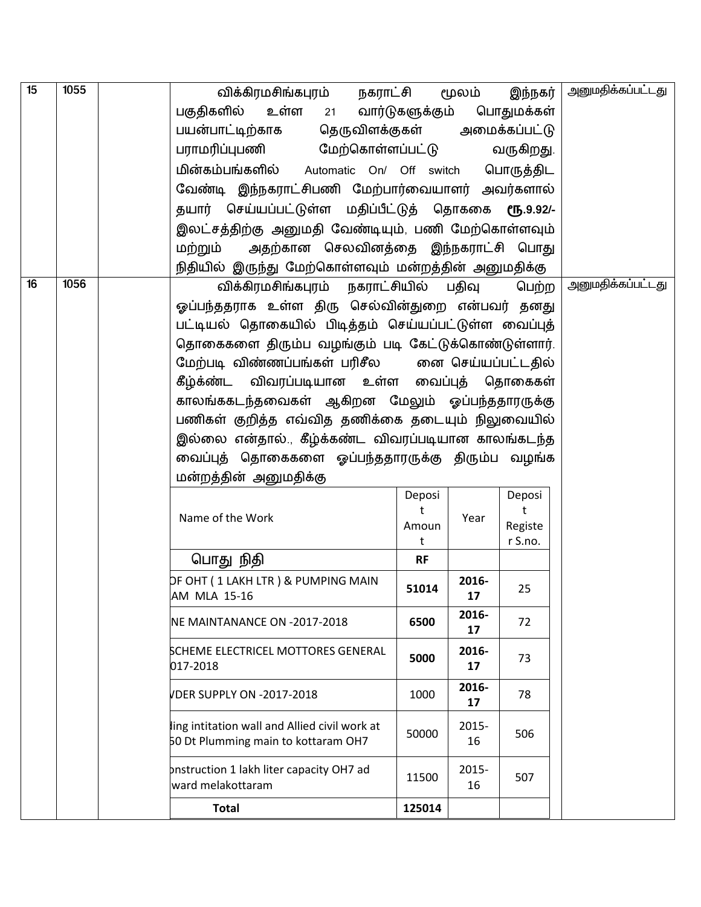| $\overline{15}$ | 1055 | விக்கிரமசிங்கபுரம்<br>நகராட்சி                                                       |                 | மூலம்       | இந்நகர்       | <u>அனுமதிக்கப்பட்டது</u> |
|-----------------|------|--------------------------------------------------------------------------------------|-----------------|-------------|---------------|--------------------------|
|                 |      | பகுதிகளில்<br>உள்ள<br>21                                                             | வார்டுகளுக்கும் |             | பொதுமக்கள்    |                          |
|                 |      | பயன்பாட்டிற்காக<br>தெருவிளக்குகள்                                                    |                 |             | அமைக்கப்பட்டு |                          |
|                 |      | பராமரிப்புபணி மேற்கொள்ளப்பட்டு                                                       |                 |             | வருகிறது.     |                          |
|                 |      | மின்கம்பங்களில் Automatic On/ Off switch                                             |                 |             | பொருத்திட     |                          |
|                 |      | வேண்டி இந்நகராட்சிபணி மேற்பார்வையாளர் அவர்களால்                                      |                 |             |               |                          |
|                 |      | தயார் செய்யப்பட்டுள்ள மதிப்பீட்டுத் தொககை ரூ.9.92/-                                  |                 |             |               |                          |
|                 |      | இலட்சத்திற்கு அனுமதி வேண்டியும், பணி மேற்கொள்ளவும்                                   |                 |             |               |                          |
|                 |      | அதற்கான செலவினத்தை இந்நகராட்சி பொது<br>மற்றும்                                       |                 |             |               |                          |
|                 |      | நிதியில் இருந்து மேற்கொள்ளவும் மன்றத்தின் அனுமதிக்கு                                 |                 |             |               |                          |
| 16              | 1056 | விக்கிரமசிங்கபுரம் நகராட்சியில் பதிவு                                                |                 |             | பெற்ற         | <u>அனுமதிக்கப்பட்டது</u> |
|                 |      | ஓப்பந்ததராக உள்ள திரு செல்வின்துறை என்பவர் தனது                                      |                 |             |               |                          |
|                 |      | பட்டியல் தொகையில் பிடித்தம் செய்யப்பட்டுள்ள வைப்புத்                                 |                 |             |               |                          |
|                 |      | தொகைகளை திரும்ப வழங்கும் படி கேட்டுக்கொண்டுள்ளார்.                                   |                 |             |               |                          |
|                 |      | மேற்படி விண்ணப்பங்கள் பரிசீல         எை செய்யப்பட்டதில்                              |                 |             |               |                          |
|                 |      | கீழ்க்ண்ட விவரப்படியான உள்ள வைப்புத் தொகைகள்                                         |                 |             |               |                          |
|                 |      | காலங்ககடந்தவைகள் ஆகிறன மேலும் ஓப்பந்ததாரருக்கு                                       |                 |             |               |                          |
|                 |      | பணிகள் குறித்த எவ்வித தணிக்கை தடையும் நிலுவையில்                                     |                 |             |               |                          |
|                 |      | இல்லை என்தால்., கீழ்க்கண்ட விவரப்படியான காலங்கடந்த                                   |                 |             |               |                          |
|                 |      | வைப்புத் தொகைகளை ஓப்பந்ததாரருக்கு திரும்ப வழங்க                                      |                 |             |               |                          |
|                 |      | மன்றத்தின் அனுமதிக்கு                                                                |                 |             |               |                          |
|                 |      |                                                                                      | Deposi          |             | Deposi        |                          |
|                 |      | Name of the Work                                                                     | t<br>Amoun      | Year        | t<br>Registe  |                          |
|                 |      |                                                                                      | t               |             | r S.no.       |                          |
|                 |      | பொது நிதி                                                                            | <b>RF</b>       |             |               |                          |
|                 |      | DF OHT ( 1 LAKH LTR ) & PUMPING MAIN                                                 |                 | 2016-       |               |                          |
|                 |      | AM MLA 15-16                                                                         | 51014           | 17          | 25            |                          |
|                 |      | NE MAINTANANCE ON -2017-2018                                                         | 6500            | 2016-<br>17 | 72            |                          |
|                 |      | SCHEME ELECTRICEL MOTTORES GENERAL                                                   |                 | 2016-       |               |                          |
|                 |      | 017-2018                                                                             | 5000            | 17          | 73            |                          |
|                 |      | VDER SUPPLY ON -2017-2018                                                            | 1000            | 2016-<br>17 | 78            |                          |
|                 |      | ling intitation wall and Allied civil work at<br>50 Dt Plumming main to kottaram OH7 | 50000           | 2015-<br>16 | 506           |                          |
|                 |      | pnstruction 1 lakh liter capacity OH7 ad<br>ward melakottaram                        | 11500           | 2015-<br>16 | 507           |                          |
|                 |      | <b>Total</b>                                                                         | 125014          |             |               |                          |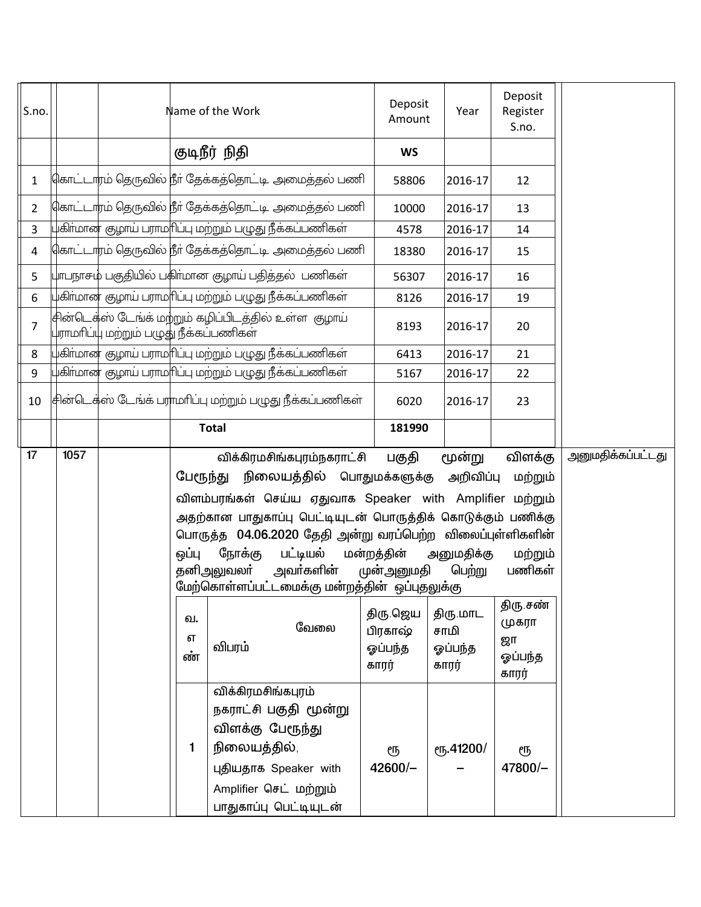| S.no.          |      |                                         |          | Name of the Work   |                                                              | Deposit<br>Amount  | Year            | Deposit<br>Register<br>S.no. |                   |
|----------------|------|-----------------------------------------|----------|--------------------|--------------------------------------------------------------|--------------------|-----------------|------------------------------|-------------------|
|                |      |                                         |          | குடிநீர் நிதி      |                                                              | <b>WS</b>          |                 |                              |                   |
| $\mathbf{1}$   |      |                                         |          |                    | 4காட்டாரம் தெருவில் நீா் தேக்கத்தொட்டி அமைத்தல் பணி          | 58806              | 2016-17         | 12                           |                   |
| $\overline{2}$ |      |                                         |          |                    | கொட்டாரம் தெருவில் நீா் தேக்கத்தொட்டி அமைத்தல் பணி           | 10000              | 2016-17         | 13                           |                   |
| $\overline{3}$ |      |                                         |          |                    | புகிா்மான குழாய் பராமாிப்பு மற்றும் பழுது நீக்கப்பணிகள்      | 4578               | 2016-17         | 14                           |                   |
| 4              |      |                                         |          |                    | கொட்டாரம் தெருவில் நீா் தேக்கத்தொட்டி அமைத்தல் பணி           | 18380              | 2016-17         | 15                           |                   |
| 5              |      |                                         |          |                    | பாபநாசம் பகுதியில் பகிா்மான குழாய் பதித்தல்  பணிகள்          | 56307              | 2016-17         | 16                           |                   |
| 6              |      |                                         |          |                    | புகிர்மான குழாய் பராம f1ப்பு மற்றும் பழுது நீக்கப்பணிகள்     | 8126               | 2016-17         | 19                           |                   |
| $\overline{7}$ |      | புராமாிப்பு மற்றும் பழுது நீக்கப்பணிகள் |          |                    | சின்டெக்ஸ் டேங்க் மற்றும் கழிப்பிடத்தில் உள்ள  குழாய்        | 8193               | 2016-17         | 20                           |                   |
| 8              |      |                                         |          |                    | .<br>பகிா்மான குழாய் பராமாிப்பு மற்றும் பழுது நீக்கப்பணிகள்  | 6413               | 2016-17         | 21                           |                   |
| 9              |      |                                         |          |                    | .<br>பகிா்மான குழாய் பராமாிப்பு மற்றும் பழுது நீக்கப்பணிகள்  | 5167               | 2016-17         | 22                           |                   |
| $10\,$         |      |                                         |          |                    | சின்டெக்ஸ் டேங்க் பராமரிப்பு மற்றும் பழுது நீக்கப்பணிகள்     | 6020               | 2016-17         | 23                           |                   |
|                |      |                                         |          | <b>Total</b>       |                                                              | 181990             |                 |                              |                   |
| 17             | 1057 |                                         |          |                    | விக்கிரமசிங்கபுரம்நகராட்சி                                   | பகுதி              | மூன்று          | விளக்கு                      | அனுமதிக்கப்பட்டது |
|                |      |                                         | பேரூந்து |                    | நிலையத்தில் பொதுமக்களுக்கு                                   |                    | அறிவிப்பு       | மற்றும்                      |                   |
|                |      |                                         |          |                    | விளம்பரங்கள் செய்ய ஏதுவாக Speaker with Amplifier மற்றும்     |                    |                 |                              |                   |
|                |      |                                         |          |                    | அதற்கான பாதுகாப்பு பெட்டியுடன் பொருத்திக் கொடுக்கும் பணிக்கு |                    |                 |                              |                   |
|                |      |                                         |          |                    | பொருத்த 04.06.2020 தேதி அன்று வரப்பெற்ற விலைப்புள்ளிகளின்    |                    |                 |                              |                   |
|                |      |                                         | ஒப்பு    | நோக்கு             | பட்டியல்                                                     | மன்றத்தின்         | அனுமதிக்கு      | மற்றும்                      |                   |
|                |      |                                         |          | தனிஅலுவலா்         | அவா்களின்                                                    | முன்அனுமதி         | பெற்று          | பணிகள்                       |                   |
|                |      |                                         |          |                    | மேற்கொள்ளப்பட்டமைக்கு மன்றத்தின் ஒப்புதலுக்கு                |                    |                 | திரு சண்                     |                   |
|                |      |                                         | வ.       |                    | வேலை                                                         | திரு.ஜெய           | திரு.மாட        | முகரா                        |                   |
|                |      |                                         | எ        | விபரம்             |                                                              | பிரகாஷ்<br>ஓப்பந்த | சாமி<br>ஓப்பந்த | ஜா                           |                   |
|                |      |                                         | ண்       |                    |                                                              | காரர்              | காரர்           | ஓப்பந்த                      |                   |
|                |      |                                         |          | விக்கிரமசிங்கபுரம் |                                                              |                    |                 | காரர்                        |                   |
|                |      |                                         |          |                    | நகராட்சி பகுதி மூன்று                                        |                    |                 |                              |                   |
|                |      |                                         |          | விளக்கு பேரூந்து   |                                                              |                    |                 |                              |                   |
|                |      |                                         | 1.       | நிலையத்தில்,       |                                                              | ரூ                 | ரு.41200/       | ரூ                           |                   |
|                |      |                                         |          |                    | புதியதாக Speaker with                                        | $42600/-$          |                 | 47800/-                      |                   |
|                |      |                                         |          |                    | Amplifier செட் மற்றும்                                       |                    |                 |                              |                   |
|                |      |                                         |          |                    | பாதுகாப்பு பெட்டியுடன்                                       |                    |                 |                              |                   |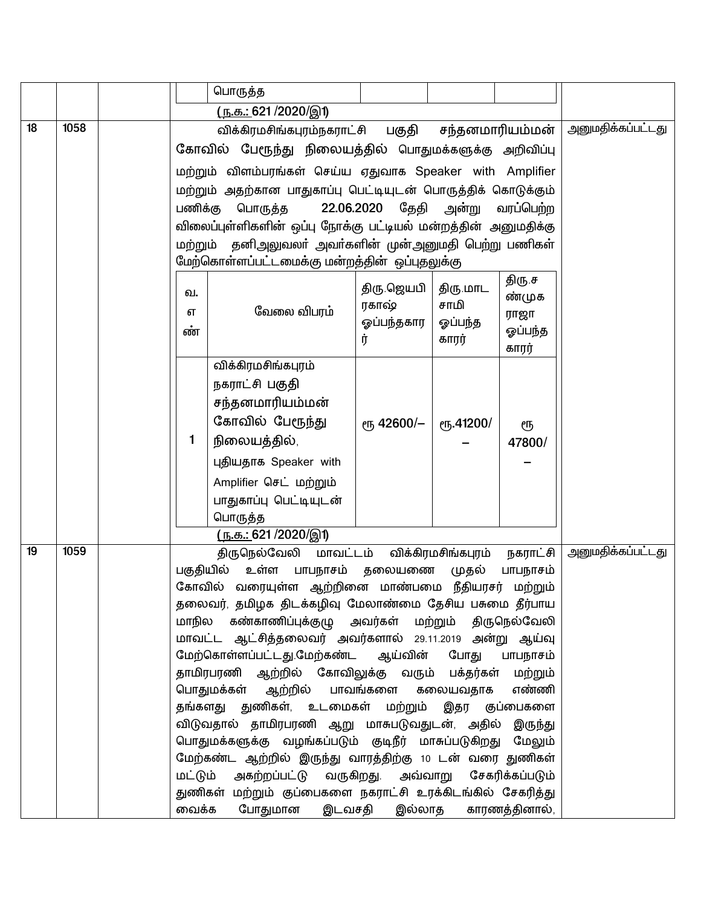|    |      |           | பொருத்த                                                                                                               |                       |                    |                 |                          |
|----|------|-----------|-----------------------------------------------------------------------------------------------------------------------|-----------------------|--------------------|-----------------|--------------------------|
|    |      |           | <u>( ந.க.: 621 /2020/இ1)</u>                                                                                          |                       |                    |                 |                          |
| 18 | 1058 |           | விக்கிரமசிங்கபுரம்நகராட்சி பகுதி                                                                                      |                       | சந்தனமாரியம்மன்    |                 | <u>அனுமதிக்கப்பட்டது</u> |
|    |      |           | கோவில் பேரூந்து நிலையத்தில் பொதுமக்களுக்கு அறிவிப்பு                                                                  |                       |                    |                 |                          |
|    |      |           | மற்றும் விளம்பரங்கள் செய்ய ஏதுவாக Speaker with Amplifier                                                              |                       |                    |                 |                          |
|    |      |           | மற்றும் அதற்கான பாதுகாப்பு பெட்டியுடன் பொருத்திக் கொடுக்கும்                                                          |                       |                    |                 |                          |
|    |      | பணிக்கு   | பொருத்த                                                                                                               | 22.06.2020 தேதி அன்று |                    | வரப்பெற்ற       |                          |
|    |      |           | விலைப்புள்ளிகளின் ஒப்பு நோக்கு பட்டியல் மன்றத்தின் அனுமதிக்கு                                                         |                       |                    |                 |                          |
|    |      |           | மற்றும் தனிஅலுவலா் அவா்களின் முன்அனுமதி பெற்று பணிகள்                                                                 |                       |                    |                 |                          |
|    |      |           | மேற்கொள்ளப்பட்டமைக்கு மன்றத்தின் ஒப்புதலுக்கு                                                                         |                       |                    |                 |                          |
|    |      | ഖ.        |                                                                                                                       | திரு ஜெயபி            | திரு.மாட           | திரு.ச          |                          |
|    |      |           | வேலை விபரம்                                                                                                           | ரகாஷ்                 | சாமி               | ண்முக           |                          |
|    |      | எ<br>ண்   |                                                                                                                       | ஓப்பந்தகார            | ஓப்பந்த            | ராஜா<br>ஓப்பந்த |                          |
|    |      |           |                                                                                                                       | ர்                    | காரர்              | காரர்           |                          |
|    |      |           | விக்கிரமசிங்கபுரம்                                                                                                    |                       |                    |                 |                          |
|    |      |           | நகராட்சி பகுதி                                                                                                        |                       |                    |                 |                          |
|    |      |           | சந்தனமாரியம்மன்                                                                                                       |                       |                    |                 |                          |
|    |      |           | கோவில் பேரூந்து                                                                                                       | <sub>ሮ</sub> 42600/–  | ரு.41200/          | ரூ              |                          |
|    |      | 1         | நிலையத்தில்,                                                                                                          |                       |                    | 47800/          |                          |
|    |      |           | புதியதாக Speaker with                                                                                                 |                       |                    |                 |                          |
|    |      |           | Amplifier செட் மற்றும்                                                                                                |                       |                    |                 |                          |
|    |      |           | பாதுகாப்பு பெட்டியுடன்                                                                                                |                       |                    |                 |                          |
|    |      |           | பொருத்த                                                                                                               |                       |                    |                 |                          |
|    |      |           | <u>( ந.க.: 621 /2020/இ1)</u>                                                                                          |                       |                    |                 |                          |
| 19 | 1059 |           | திருநெல்வேலி மாவட்டம்                                                                                                 |                       | விக்கிரமசிங்கபுரம் | நகராட்சி        | <u>அனுமதிக்கப்பட்டது</u> |
|    |      | பகுதியில் | உள்ள                                                                                                                  | பாபநாசம் தலையணை       | முதல்              | பாபநாசம்        |                          |
|    |      |           | கோவில் வரையுள்ள ஆற்றினை மாண்பமை நீதியரசர் மற்றும்<br>தலைவர், தமிழக திடக்கழிவு மேலாண்மை தேசிய பசுமை தீர்பாய            |                       |                    |                 |                          |
|    |      |           | மாநில கண்காணிப்புக்குழு அவர்கள் மற்றும் திருநெல்வேலி                                                                  |                       |                    |                 |                          |
|    |      |           | மாவட்ட ஆட்சித்தலைவர் அவர்களால் 29.11.2019 அன்று ஆய்வு                                                                 |                       |                    |                 |                          |
|    |      |           | மேற்கொள்ளப்பட்டது.மேற்கண்ட ஆய்வின் போது                                                                               |                       |                    | பாபநாசம்        |                          |
|    |      |           | தாமிரபரணி ஆற்றில் கோவிலுக்கு வரும் பக்தர்கள் மற்றும்                                                                  |                       |                    |                 |                          |
|    |      |           | பொதுமக்கள் ஆற்றில் பாவங்களை கலையவதாக                                                                                  |                       |                    | எண்ணி           |                          |
|    |      |           | தங்களது துணிகள், உடமைகள் மற்றும் இதர குப்பைகளை                                                                        |                       |                    |                 |                          |
|    |      |           | விடுவதால் தாமிரபரணி ஆறு மாசுபடுவதுடன், அதில் இருந்து                                                                  |                       |                    |                 |                          |
|    |      |           | பொதுமக்களுக்கு வழங்கப்படும் குடிநீர் மாசுப்படுகிறது மேலும்<br>மேற்கண்ட ஆற்றில் இருந்து வாரத்திற்கு 10 டன் வரை துணிகள் |                       |                    |                 |                          |
|    |      | மட்டும்   | அகற்றப்பட்டு வருகிறது. அவ்வாறு சேகரிக்கப்படும்                                                                        |                       |                    |                 |                          |
|    |      |           | துணிகள் மற்றும் குப்பைகளை நகராட்சி உரக்கிடங்கில் சேகரித்து                                                            |                       |                    |                 |                          |
|    |      | வைக்க     | போதுமான                                                                                                               | இடவசதி இல்லாத         |                    | காரணத்தினால்,   |                          |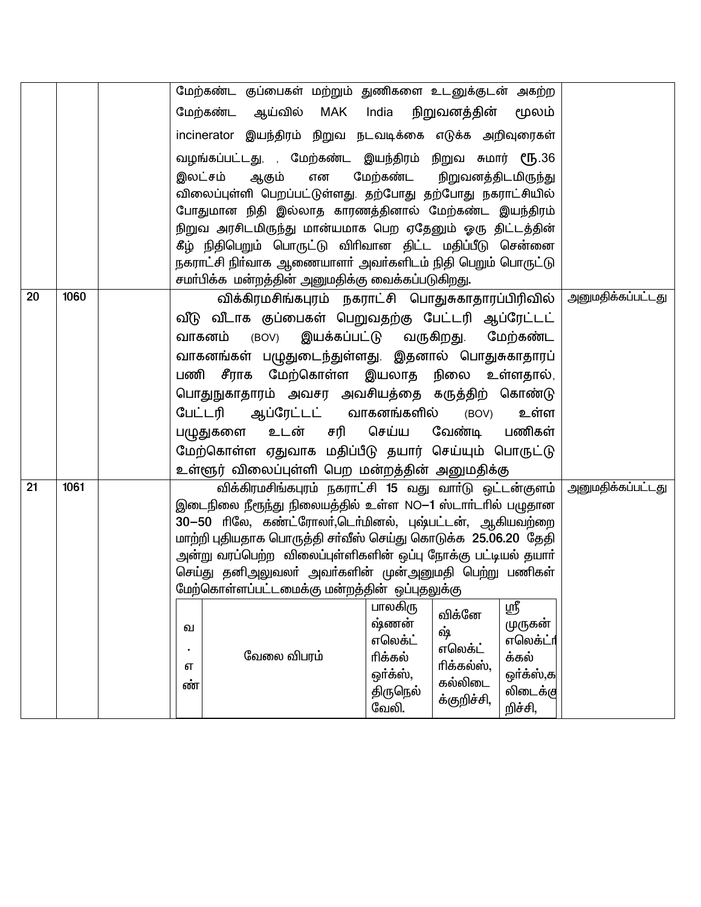|    |      |         | மேற்கண்ட குப்பைகள் மற்றும் துணிகளை உடனுக்குடன் அகற்ற                                                          |     |          |                       |           |                          |
|----|------|---------|---------------------------------------------------------------------------------------------------------------|-----|----------|-----------------------|-----------|--------------------------|
|    |      |         | மேற்கண்ட<br>ஆய்வில்                                                                                           | MAK | India    | நிறுவனத்தின்          | மூலம்     |                          |
|    |      |         | incinerator இயந்திரம் நிறுவ நடவடிக்கை எடுக்க அறிவுரைகள்                                                       |     |          |                       |           |                          |
|    |      |         | வழங்கப்பட்டது, , மேற்கண்ட இயந்திரம் நிறுவ சுமார் ரூ.36                                                        |     |          |                       |           |                          |
|    |      | இலட்சம் | ஆகும்                                                                                                         | என  | மேற்கண்ட | நிறுவனத்திடமிருந்து   |           |                          |
|    |      |         | விலைப்புள்ளி பெறப்பட்டுள்ளது. தற்போது தற்போது நகராட்சியில்                                                    |     |          |                       |           |                          |
|    |      |         | போதுமான நிதி இல்லாத காரணத்தினால் மேற்கண்ட இயந்திரம்                                                           |     |          |                       |           |                          |
|    |      |         | நிறுவ அரசிடமிருந்து மான்யமாக பெற ஏதேனும் ஓரு திட்டத்தின்                                                      |     |          |                       |           |                          |
|    |      |         | கீழ் நிதிபெறும் பொருட்டு விரிவான திட்ட மதிப்பீடு சென்னை                                                       |     |          |                       |           |                          |
|    |      |         | நகராட்சி நிா்வாக ஆணையாளா் அவா்களிடம் நிதி பெறும் பொருட்டு<br>சமா்பிக்க மன்றத்தின் அனுமதிக்கு வைக்கப்படுகிறது. |     |          |                       |           |                          |
| 20 | 1060 |         | விக்கிரமசிங்கபுரம் நகராட்சி பொதுசுகாதாரப்பிரிவில்                                                             |     |          |                       |           | <u>அனுமதிக்கப்பட்டது</u> |
|    |      |         | வீடு வீடாக குப்பைகள் பெறுவதற்கு பேட்டரி ஆப்ரேட்டட்                                                            |     |          |                       |           |                          |
|    |      |         | வாகனம் (BOV) இயக்கப்பட்டு வருகிறது. மேற்கண்ட                                                                  |     |          |                       |           |                          |
|    |      |         | வாகனங்கள் பழுதுடைந்துள்ளது. இதனால் பொதுசுகாதாரப்                                                              |     |          |                       |           |                          |
|    |      |         | பணி சீராக மேற்கொள்ள இயலாத நிலை உள்ளதால்,                                                                      |     |          |                       |           |                          |
|    |      |         | பொதுநுகாதாரம் அவசர அவசியத்தை கருத்திற் கொண்டு                                                                 |     |          |                       |           |                          |
|    |      |         | ஆப்ரேட்டட் வாகனங்களில்<br>பேட்டரி                                                                             |     |          | (BOV)                 | உள்ள      |                          |
|    |      |         | பழுதுகளை உடன் சரி செய்ய                                                                                       |     |          | வேண்டி                | பணிகள்    |                          |
|    |      |         | மேற்கொள்ள ஏதுவாக மதிப்பீடு தயார் செய்யும் பொருட்டு                                                            |     |          |                       |           |                          |
|    |      |         | உள்ளூர் விலைப்புள்ளி பெற மன்றத்தின் அனுமதிக்கு                                                                |     |          |                       |           |                          |
| 21 | 1061 |         | விக்கிரமசிங்கபுரம் நகராட்சி 15 வது வாா்டு ஒட்டன்குளம்                                                         |     |          |                       |           | <u>அனுமதிக்கப்பட்டது</u> |
|    |      |         | இடைநிலை நீரூந்து நிலையத்தில் உள்ள NO-1 ஸ்டாா்டாில் பழுதான                                                     |     |          |                       |           |                          |
|    |      |         | 30-50 ரிலே, கண்ட்ரோலர்,டெர்மினல், புஷ்பட்டன், ஆகியவற்றை                                                       |     |          |                       |           |                          |
|    |      |         | மாற்றி புதியதாக பொருத்தி சா்வீஸ் செய்து கொடுக்க 25.06.20 தேதி                                                 |     |          |                       |           |                          |
|    |      |         | அன்று வரப்பெற்ற  விலைப்புள்ளிகளின் ஒப்பு நோக்கு பட்டியல் தயாா்                                                |     |          |                       |           |                          |
|    |      |         | செய்து தனிஅலுவலா் அவா்களின் முன்அனுமதி பெற்று பணிகள்<br>மேற்கொள்ளப்பட்டமைக்கு மன்றத்தின் ஒப்புதலுக்கு         |     |          |                       |           |                          |
|    |      |         |                                                                                                               |     | பாலகிரு  |                       | ஸ்ரீ      |                          |
|    |      | வ       |                                                                                                               |     | ஷ்ணன்    | விக்னே                | முருகன்   |                          |
|    |      |         |                                                                                                               |     | எலெக்ட்  | ஷ்                    | எலெக்ட்ா  |                          |
|    |      | எ       | வேலை விபரம்                                                                                                   |     | ரிக்கல்  | எலெக்ட்<br>ரிக்கல்ஸ், | க்கல்     |                          |
|    |      | ண்      |                                                                                                               |     | ஒர்க்ஸ், | கல்லிடை               | ஒா்க்ஸ்,க |                          |
|    |      |         |                                                                                                               |     | திருநெல் | க்குறிச்சி,           | லிடைக்கு  |                          |
|    |      |         |                                                                                                               |     | வேலி.    |                       | றிச்சி,   |                          |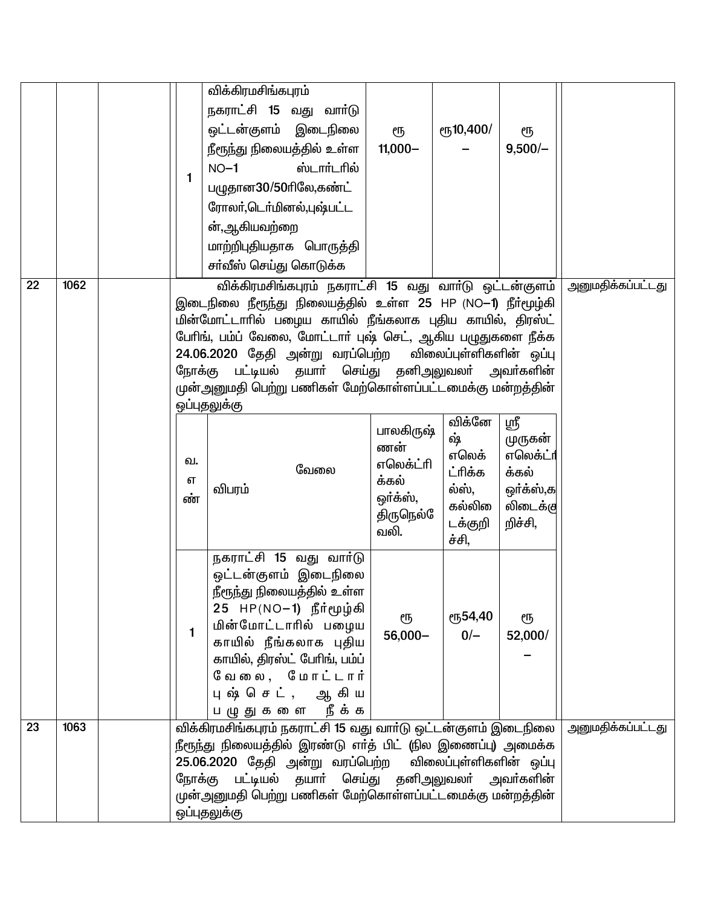|    |      |                                                                                                                        | விக்கிரமசிங்கபுரம்                                                                             |                   |                         |                     |                          |
|----|------|------------------------------------------------------------------------------------------------------------------------|------------------------------------------------------------------------------------------------|-------------------|-------------------------|---------------------|--------------------------|
|    |      |                                                                                                                        | நகராட்சி 15 வது வாா்டு                                                                         |                   |                         |                     |                          |
|    |      |                                                                                                                        | ஒட்டன்குளம் இடைநிலை                                                                            | ரூ                | er <sub>5</sub> 10,400/ | ரூ                  |                          |
|    |      |                                                                                                                        | நீரூந்து நிலையத்தில் உள்ள                                                                      | $11,000 -$        |                         | $9,500/-$           |                          |
|    |      |                                                                                                                        | ஸ்டார்டரில்<br>$NO-1$                                                                          |                   |                         |                     |                          |
|    |      | 1                                                                                                                      | பழுதான30/50ரிலே,கண்ட்                                                                          |                   |                         |                     |                          |
|    |      |                                                                                                                        | ரோலா்,டொ்மினல்,புஷ்பட்ட                                                                        |                   |                         |                     |                          |
|    |      |                                                                                                                        | ன்,ஆகியவற்றை                                                                                   |                   |                         |                     |                          |
|    |      |                                                                                                                        | மாற்றிபுதியதாக பொருத்தி                                                                        |                   |                         |                     |                          |
|    |      |                                                                                                                        | சா்வீஸ் செய்து கொடுக்க                                                                         |                   |                         |                     |                          |
| 22 | 1062 |                                                                                                                        | விக்கிரமசிங்கபுரம் நகராட்சி 15 வது வாா்டு ஒட்டன்குளம்                                          |                   |                         |                     | <u>அனுமதிக்கப்பட்டது</u> |
|    |      |                                                                                                                        | இடைநிலை நீரூந்து நிலையத்தில் உள்ள 25 HP (NO-1) நீா்மூழ்கி                                      |                   |                         |                     |                          |
|    |      |                                                                                                                        | மின்மோட்டாரில் பழைய காயில் நீங்கலாக புதிய காயில், திரஸ்ட்                                      |                   |                         |                     |                          |
|    |      |                                                                                                                        | பேரிங், பம்ப் வேலை, மோட்டார் புஷ் செட், ஆகிய பழுதுகளை நீக்க<br>24.06.2020 தேதி அன்று வரப்பெற்ற |                   | விலைப்புள்ளிகளின் ஒப்பு |                     |                          |
|    |      | நோக்கு                                                                                                                 | பட்டியல் தயாா் செய்து தனிஅலுவலா் அவா்களின்                                                     |                   |                         |                     |                          |
|    |      |                                                                                                                        | முன்அனுமதி பெற்று பணிகள் மேற்கொள்ளப்பட்டமைக்கு மன்றத்தின்                                      |                   |                         |                     |                          |
|    |      |                                                                                                                        | ஒப்புதலுக்கு                                                                                   |                   |                         |                     |                          |
|    |      |                                                                                                                        |                                                                                                | பாலகிருஷ்         | விக்னே<br>ஷ்            | ஸ்ரீ                |                          |
|    |      |                                                                                                                        |                                                                                                | ணன்               | எலெக்                   | முருகன்<br>எலெக்ட்ா |                          |
|    |      | வ.                                                                                                                     | வேலை                                                                                           | எலெக்ட்ரி         | ட்ரிக்க                 | க்கல்               |                          |
|    |      | எ<br>ண்                                                                                                                | விபரம்                                                                                         | க்கல்<br>ஒர்க்ஸ், | ல்ஸ்,                   | ஒர்க்ஸ்,க           |                          |
|    |      |                                                                                                                        |                                                                                                | திருநெல்ே         | கல்லி                   | லிடைக்கு            |                          |
|    |      |                                                                                                                        |                                                                                                | வலி.              | டக்குறி<br>ச்சி,        | றிச்சி,             |                          |
|    |      |                                                                                                                        | நகராட்சி 15 வது வார்டு                                                                         |                   |                         |                     |                          |
|    |      |                                                                                                                        | ஒட்டன்குளம் இடைநிலை                                                                            |                   |                         |                     |                          |
|    |      |                                                                                                                        | நீரூந்து நிலையத்தில் உள்ள                                                                      |                   |                         |                     |                          |
|    |      |                                                                                                                        | 25   HP(NO−1)   நீா்மூழ்கி                                                                     | ரூ                | ரு54,40                 | ரூ                  |                          |
|    |      | 1.                                                                                                                     | மின்மோட்டாரில் பழைய<br>காயில் நீங்கலாக புதிய                                                   | 56,000-           | $0/-$                   | 52,000/             |                          |
|    |      |                                                                                                                        | காயில், திரஸ்ட் பேரிங், பம்ப்                                                                  |                   |                         |                     |                          |
|    |      |                                                                                                                        | வேலை, மோட்டார்                                                                                 |                   |                         |                     |                          |
|    |      |                                                                                                                        | புஷ் செட், ஆகிய                                                                                |                   |                         |                     |                          |
|    |      |                                                                                                                        | பழுதுகளை நீக்க                                                                                 |                   |                         |                     |                          |
| 23 | 1063 |                                                                                                                        | விக்கிரமசிங்கபுரம் நகராட்சி 15 வது வார்டு ஒட்டன்குளம் இடைநிலை                                  |                   |                         |                     | <u>அனுமதிக்கப்பட்டது</u> |
|    |      | நீரூந்து நிலையத்தில் இரண்டு எா்த் பிட் (நில இணைப்பு) அமைக்க<br>25.06.2020 தேதி அன்று வரப்பெற்ற விலைப்புள்ளிகளின் ஒப்பு |                                                                                                |                   |                         |                     |                          |
|    |      |                                                                                                                        | நோக்கு பட்டியல் தயாா் செய்து தனிஅலுவலா் அவா்களின்                                              |                   |                         |                     |                          |
|    |      | முன்அனுமதி பெற்று பணிகள் மேற்கொள்ளப்பட்டமைக்கு மன்றத்தின்                                                              |                                                                                                |                   |                         |                     |                          |
|    |      | ஒப்புதலுக்கு                                                                                                           |                                                                                                |                   |                         |                     |                          |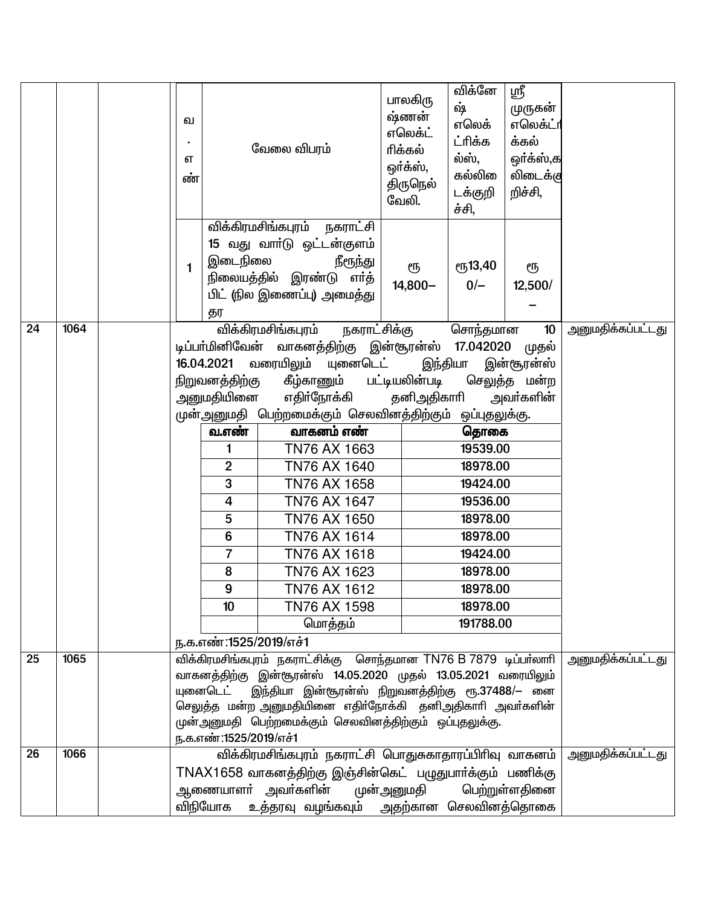|                 |      | ഖ<br>எ<br>ண்                                                                                                                                                                                                                                                                                                                                   |                                                                                                                                                                                        | வேலை விபரம்                                                                                                                                                                                                                                                                                                                                                                                                            | பாலகிரு<br>ஷ்ணன்<br>எலெக்ட்<br>ரிக்கல்<br>ஒர்க்ஸ்,<br>திருநெல்<br>வேலி. | விக்னே<br>ஷ்<br>எலெக்<br>ட்ரிக்க<br>ல்ஸ்,<br>கல்லி<br>டக்குறி<br>ச்சி,                                                                                           | ஸ்ரீ<br>முருகன்<br>எலெக்ட்ா<br>க்கல்<br>ஒர்க்ஸ்,க<br>லிடைக்கு<br>றிச்சி, |                          |
|-----------------|------|------------------------------------------------------------------------------------------------------------------------------------------------------------------------------------------------------------------------------------------------------------------------------------------------------------------------------------------------|----------------------------------------------------------------------------------------------------------------------------------------------------------------------------------------|------------------------------------------------------------------------------------------------------------------------------------------------------------------------------------------------------------------------------------------------------------------------------------------------------------------------------------------------------------------------------------------------------------------------|-------------------------------------------------------------------------|------------------------------------------------------------------------------------------------------------------------------------------------------------------|--------------------------------------------------------------------------|--------------------------|
|                 |      | 1                                                                                                                                                                                                                                                                                                                                              | தர                                                                                                                                                                                     | விக்கிரமசிங்கபுரம் நகராட்சி<br>15 வது வாா்டு ஒட்டன்குளம்<br>இடைநிலை<br>நீரூந்து<br>நிலையத்தில் இரண்டு எா்த்<br>பிட் (நில இணைப்பு) அமைத்து                                                                                                                                                                                                                                                                              | ரூ<br>$14,800-$                                                         | ரூ13,40<br>$0/-$                                                                                                                                                 | ரூ<br>12,500/                                                            |                          |
| 24              | 1064 |                                                                                                                                                                                                                                                                                                                                                | 16.04.2021<br>நிறுவனத்திற்கு<br>அனுமதியினை<br>வ.எண்<br>1<br>$\overline{2}$<br>3<br>4<br>5<br>$6\phantom{1}6$<br>$\overline{7}$<br>8<br>9<br>10 <sup>10</sup><br>ந.க.எண்:1525/2019/எச்1 | விக்கிரமசிங்கபுரம்<br><u>நகராட்சிக்கு</u><br>டிப்பா்மினிவேன் வாகனத்திற்கு இன்சூரன்ஸ் 17.042020<br>வரையிலும்<br>யுனைடெட்<br>கீழ்காணும் பட்டியலின்படி<br>எதிா்நோக்கி<br>முன்அனுமதி பெற்றமைக்கும் செலவினத்திற்கும் ஒப்புதலுக்கு.<br>வாகனம் எண்<br>TN76 AX 1663<br>TN76 AX 1640<br>TN76 AX 1658<br>TN76 AX 1647<br>TN76 AX 1650<br>TN76 AX 1614<br>TN76 AX 1618<br>TN76 AX 1623<br>TN76 AX 1612<br>TN76 AX 1598<br>மொத்தம் | தனிஅதிகாரி                                                              | சொந்தமான<br>இந்தியா<br>தொகை<br>19539.00<br>18978.00<br>19424.00<br>19536.00<br>18978.00<br>18978.00<br>19424.00<br>18978.00<br>18978.00<br>18978.00<br>191788.00 | 10<br>முதல்<br>இன்சூரன்ஸ்<br>செலுத்த மன்ற<br>அவா்களின்                   | <u>அனுமதிக்கப்பட்டது</u> |
| 25              | 1065 | விக்கிரமசிங்கபுரம் நகராட்சிக்கு சொந்தமான TN76 B 7879 டிப்பா்லாரி<br>வாகனத்திற்கு இன்சூரன்ஸ் 14.05.2020 முதல் 13.05.2021 வரையிலும்<br>யுனைடெட் இந்தியா இன்சூரன்ஸ் நிறுவனத்திற்கு ரூ.37488/– னை<br>செலுத்த மன்ற அனுமதியினை எதிா்நோக்கி தனிஅதிகாாி அவா்களின்<br>முன்அனுமதி பெற்றமைக்கும் செலவினத்திற்கும் ஒப்புதலுக்கு.<br>ந.க.எண்:1525/2019/எச்1 |                                                                                                                                                                                        |                                                                                                                                                                                                                                                                                                                                                                                                                        |                                                                         | <u>அனுமதிக்கப்பட்டது</u>                                                                                                                                         |                                                                          |                          |
| $\overline{26}$ | 1066 | விக்கிரமசிங்கபுரம் நகராட்சி பொதுசுகாதாரப்பிரிவு வாகனம்<br>TNAX1658 வாகனத்திற்கு இஞ்சின்கெட் பழுதுபார்க்கும் பணிக்கு<br>ஆணையாளா் அவா்களின்<br>பெற்றுள்ளதினை<br>முன்அனுமதி<br>உத்தரவு வழங்கவும்  அதற்கான செலவினத்தொகை<br>விநியோக                                                                                                                 |                                                                                                                                                                                        |                                                                                                                                                                                                                                                                                                                                                                                                                        |                                                                         |                                                                                                                                                                  | அனுமதிக்கப்பட்டது                                                        |                          |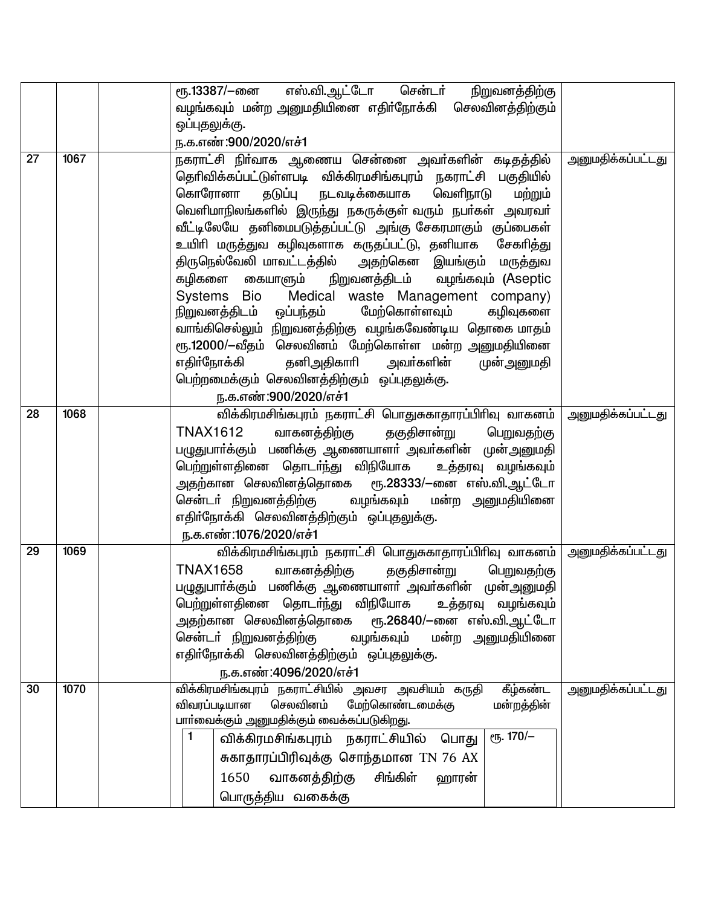|    |      | ரூ.13387/—னை எஸ்.வி. <u>ஆட்டோ சென்ட</u> ா்<br>நிறுவனத்திற்கு                                                                                                                                                                                                                                                                                                                                                                                                                                                                                                                                                                                                                                                                                                                                                                           |                          |
|----|------|----------------------------------------------------------------------------------------------------------------------------------------------------------------------------------------------------------------------------------------------------------------------------------------------------------------------------------------------------------------------------------------------------------------------------------------------------------------------------------------------------------------------------------------------------------------------------------------------------------------------------------------------------------------------------------------------------------------------------------------------------------------------------------------------------------------------------------------|--------------------------|
|    |      | வழங்கவும் மன்ற அனுமதியினை எதிா்நோக்கி செலவினத்திற்கும்                                                                                                                                                                                                                                                                                                                                                                                                                                                                                                                                                                                                                                                                                                                                                                                 |                          |
|    |      | ஒப்புதலுக்கு.                                                                                                                                                                                                                                                                                                                                                                                                                                                                                                                                                                                                                                                                                                                                                                                                                          |                          |
|    |      | ந.க.எண்:900/2020/எச்1                                                                                                                                                                                                                                                                                                                                                                                                                                                                                                                                                                                                                                                                                                                                                                                                                  |                          |
| 27 | 1067 | நகராட்சி நிா்வாக ஆணைய சென்னை அவா்களின் கடிதத்தில்<br>தெரிவிக்கப்பட்டுள்ளபடி விக்கிரமசிங்கபுரம் நகராட்சி பகுதியில்<br>வெளிநாடு<br>கொரோனா<br>தடுப்பு<br>நடவடிக்கையாக<br>மற்றும்<br>வெளிமாநிலங்களில் இருந்து நகருக்குள் வரும் நபா்கள் அவரவா்<br>வீட்டிலேயே தனிமைபடுத்தப்பட்டு அங்கு சேகரமாகும் குப்பைகள்<br>உயிரி மருத்துவ கழிவுகளாக கருதப்பட்டு, தனியாக சேகரித்து<br>திருநெல்வேலி மாவட்டத்தில்   அதற்கென  இயங்கும்  மருத்துவ<br>கழிகளை கையாளும்  நிறுவனத்திடம்  வழங்கவும் (Aseptic<br>Medical waste Management company)<br>Systems Bio<br>மேற்கொள்ளவும்<br>நிறுவனத்திடம் ஒப்பந்தம்<br>கழிவுகளை<br>வாங்கிசெல்லும் நிறுவனத்திற்கு வழங்கவேண்டிய தொகை மாதம்<br>ரூ.12000/-வீதம் செலவினம் மேற்கொள்ள மன்ற அனுமதியினை<br>எதிா்நோக்கி தனிஅதிகாாி அவா்களின்<br>முன்அனுமதி<br>பெற்றமைக்கும் செலவினத்திற்கும் ஒப்புதலுக்கு.<br>ந.க.எண்:900/2020/எச்1 | <u>அனுமதிக்கப்பட்டது</u> |
|    |      |                                                                                                                                                                                                                                                                                                                                                                                                                                                                                                                                                                                                                                                                                                                                                                                                                                        |                          |
| 28 | 1068 | விக்கிரமசிங்கபுரம் நகராட்சி பொதுசுகாதாரப்பிரிவு வாகனம்<br><b>TNAX1612</b><br>வாகனத்திற்கு<br>தகுதிசான்று<br>பெறுவதற்கு<br>பழுதுபாா்க்கும் பணிக்கு ஆணையாளா் அவா்களின் முன்அனுமதி<br>பெற்றுள்ளதினை தொடர்ந்து விநியோக உத்தரவு வழங்கவும்<br>அதற்கான செலவினத்தொகை  ரூ.28333/—னை எஸ்.வி.ஆட்டோ<br>சென்டா் நிறுவனத்திற்கு<br>வழங்கவும் மன்ற அனுமதியினை<br>எதிா்நோக்கி செலவினத்திற்கும் ஒப்புதலுக்கு.<br>ந.க.எண்:1076/2020/எச்1                                                                                                                                                                                                                                                                                                                                                                                                                 | <u>அனுமதிக்கப்பட்டது</u> |
| 29 | 1069 | விக்கிரமசிங்கபுரம் நகராட்சி பொதுசுகாதாரப்பிரிவு வாகனம்<br><b>TNAX1658</b><br>வாகனத்திற்கு<br>தகுதிசான்று<br>பெறுவதற்கு<br>பழுதுபாா்க்கும் பணிக்கு ஆணையாளா் அவா்களின் முன்அனுமதி<br>பெற்றுள்ளதினை தொடா்ந்து விநியோக<br>உத்தரவு வழங்கவும்<br>அதற்கான செலவினத்தொகை  ரூ.26840/—னை எஸ்.வி.ஆட்டோ<br>வழங்கவும் மன்ற அனுமதியினை<br>சென்டா் நிறுவனத்திற்கு<br>எதிா்நோக்கி செலவினத்திற்கும் ஒப்புதலுக்கு.<br>ந.க.எண்:4096/2020/எச்1                                                                                                                                                                                                                                                                                                                                                                                                              | <u>அனுமதிக்கப்பட்டது</u> |
| 30 | 1070 | விக்கிரமசிங்கபுரம் நகராட்சியில் அவசர அவசியம் கருதி<br>கீழ்கண்ட<br>செலவினம்<br>மேற்கொண்டமைக்கு<br>விவரப்படியான<br>மன்றத்தின்<br>பாா்வைக்கும் அனுமதிக்கும் வைக்கப்படுகிறது.<br>$e$ гу. 170/-<br>1<br>விக்கிரமசிங்கபுரம் நகராட்சியில்<br>பொது<br>சுகாதாரப்பிரிவுக்கு சொந்தமான TN 76 AX<br>சிங்கிள்<br>1650<br>வாகனத்திற்கு<br>ஹாரன்<br>பொருத்திய வகைக்கு                                                                                                                                                                                                                                                                                                                                                                                                                                                                                  | <u>அனுமதிக்கப்பட்டது</u> |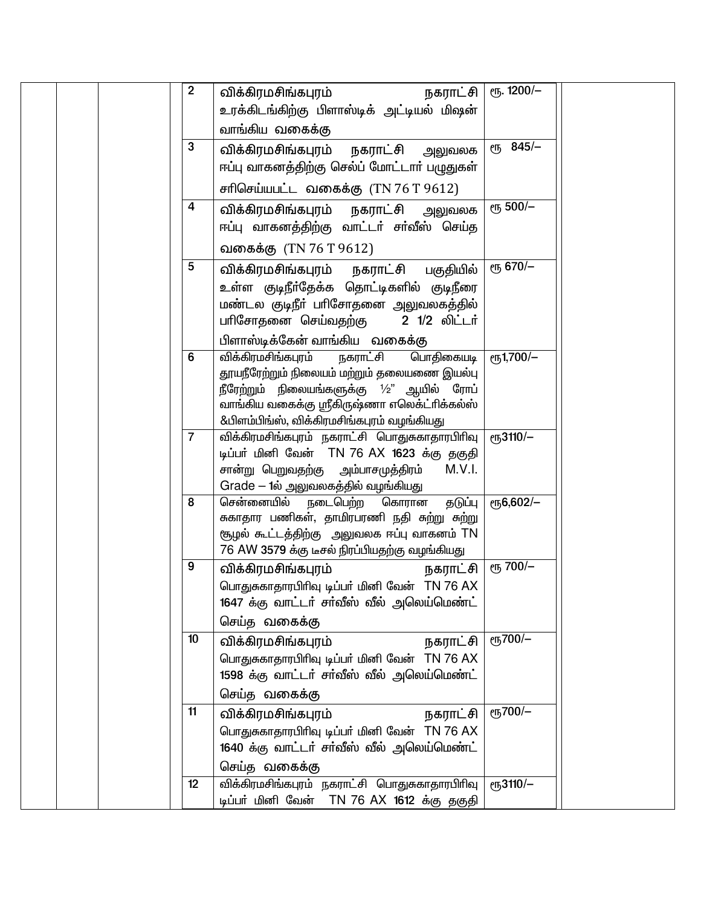| $\overline{2}$ | விக்கிரமசிங்கபுரம்<br>நகராட்சி<br>உரக்கிடங்கிற்கு பிளாஸ்டிக் அட்டியல் மிஷன்<br>வாங்கிய வகைக்கு                                                                                                                                            | $e$ <sup>1200/-</sup>     |  |
|----------------|-------------------------------------------------------------------------------------------------------------------------------------------------------------------------------------------------------------------------------------------|---------------------------|--|
| 3              | விக்கிரமசிங்கபுரம்<br>நகராட்சி<br>அலுவலக<br>ஈப்பு வாகனத்திற்கு செல்ப் மோட்டார் பழுதுகள்                                                                                                                                                   | $e^{1/3}$ 845/-           |  |
| 4              | சரிசெய்யபட்ட வகைக்கு $(TN 76 T 9612)$<br>விக்கிரமசிங்கபுரம் நகராட்சி அலுவலக<br>ஈப்பு வாகனத்திற்கு வாட்டா் சா்வீஸ் செய்த                                                                                                                   | ரூ 500/-                  |  |
|                | வகைக்கு (TN 76 T 9612)                                                                                                                                                                                                                    |                           |  |
| 5              | விக்கிரமசிங்கபுரம் நகராட்சி பகுதியில்<br>உள்ள குடிநீா்தேக்க தொட்டிகளில் குடிநீரை<br>மண்டல குடிநீா் பாிசோதனை அலுவலகத்தில்<br>2 1/2 லிட்டர்<br>பாிசோதனை செய்வதற்கு<br>பிளாஸ்டிக்கேன் வாங்கிய வகைக்கு                                        | ரூ 670/-                  |  |
| 6              | விக்கிரமசிங்கபுரம்<br>நகராட்சி<br>பொதிகையடி<br>தூயநீரேற்றும் நிலையம் மற்றும் தலையணை இயல்பு<br>நீரேற்றும் நிலையங்களுக்கு $1/2$ " ஆயில் ரோப்<br>வாங்கிய வகைக்கு ஸ்ரீகிருஷ்ணா எலெக்ட்ரிக்கல்ஸ்<br>&பிளம்பிங்ஸ், விக்கிரமசிங்கபுரம் வழங்கியது | еҧ1,700/-                 |  |
| $\overline{7}$ | விக்கிரமசிங்கபுரம் நகராட்சி பொதுசுகாதாரபிரிவு<br>டிப்பர் மினி வேன் TN 76 AX 1623 க்கு தகுதி<br>சான்று பெறுவதற்கு அம்பாசமுத்திரம்<br>M.V.I.<br>Grade – 1ல் அலுவலகத்தில் வழங்கியது                                                          | $e$ гђ3110/-              |  |
| 8              | சென்னையில்<br>நடைபெற்ற<br>கொரான<br>தடுப்பு<br>சுகாதார பணிகள், தாமிரபரணி நதி சுற்று சுற்று<br>சூழல் கூட்டத்திற்கு அலுவலக ஈப்பு வாகனம் TN<br>76 AW 3579 க்கு டீசல் நிரப்பியதற்கு வழங்கியது                                                  | $e$ <sup>15</sup> 6,602/- |  |
| 9              | விக்கிரமசிங்கபுரம்<br>நகராட்சி<br>பொதுசுகாதாரபிரிவு டிப்பர் மினி வேன் TN 76 AX<br>1647 க்கு வாட்டா் சா்வீஸ் வீல் அலெய்மெண்ட்<br>செய்த வகைக்கு                                                                                             | ељ 700/-                  |  |
| 10             | விக்கிரமசிங்கபுரம்<br>நகராட்சி<br>பொதுசுகாதாரபிரிவு டிப்பர் மினி வேன் TN 76 AX<br>1598 க்கு வாட்டா் சா்வீஸ் வீல் அலெய்மெண்ட்<br>செய்த வகைக்கு                                                                                             | ரூ700/-                   |  |
| 11             | நகராட்சி<br>விக்கிரமசிங்கபுரம்<br>பொதுசுகாதாரபிரிவு டிப்பர் மினி வேன் TN 76 AX<br>1640 க்கு வாட்டா் சா்வீஸ் வீல் அலெய்மெண்ட்<br>செய்த வகைக்கு                                                                                             | ரூ700/-                   |  |
| 12             | விக்கிரமசிங்கபுரம் நகராட்சி பொதுசுகாதாரபிரிவு<br>டிப்பர் மினி வேன் TN 76 AX 1612 க்கு தகுதி                                                                                                                                               | еҧ3110/-                  |  |